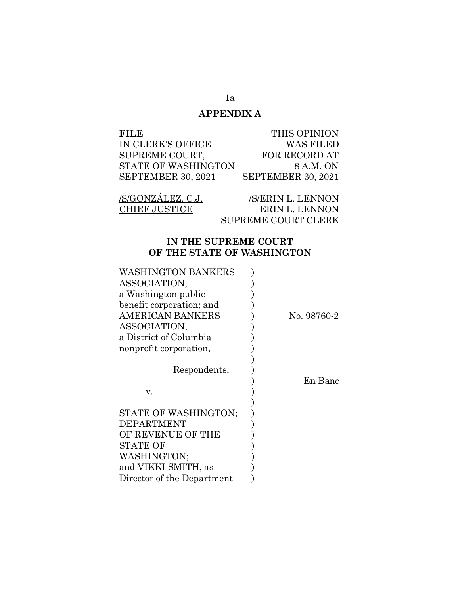# **APPENDIX A**

| FILE                | THIS OPINION       |
|---------------------|--------------------|
| IN CLERK'S OFFICE   | <b>WAS FILED</b>   |
| SUPREME COURT,      | FOR RECORD AT      |
| STATE OF WASHINGTON | 8 A.M. ON          |
| SEPTEMBER 30, 2021  | SEPTEMBER 30, 2021 |

| /S/GONZÁLEZ, C.J.    | /S/ERIN L. LENNON          |
|----------------------|----------------------------|
| <b>CHIEF JUSTICE</b> | ERIN L. LENNON             |
|                      | <b>SUPREME COURT CLERK</b> |

## **IN THE SUPREME COURT OF THE STATE OF WASHINGTON**

| WASHINGTON BANKERS         |             |
|----------------------------|-------------|
| ASSOCIATION,               |             |
| a Washington public        |             |
| benefit corporation; and   |             |
| AMERICAN BANKERS           | No. 98760-2 |
| ASSOCIATION,               |             |
| a District of Columbia     |             |
| nonprofit corporation,     |             |
|                            |             |
| Respondents,               |             |
|                            | En Banc     |
| V.                         |             |
|                            |             |
| STATE OF WASHINGTON;       |             |
| <b>DEPARTMENT</b>          |             |
| OF REVENUE OF THE          |             |
| STATE OF                   |             |
| WASHINGTON;                |             |
| and VIKKI SMITH, as        |             |
| Director of the Department |             |

1a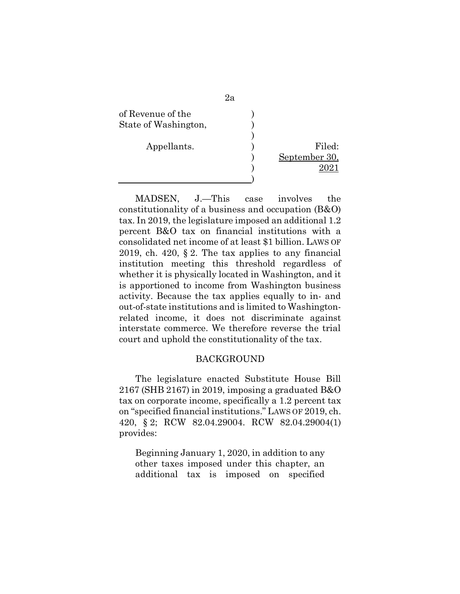

MADSEN, J.—This case involves the constitutionality of a business and occupation (B&O) tax. In 2019, the legislature imposed an additional 1.2 percent B&O tax on financial institutions with a consolidated net income of at least \$1 billion. LAWS OF 2019, ch. 420,  $\S 2$ . The tax applies to any financial institution meeting this threshold regardless of whether it is physically located in Washington, and it is apportioned to income from Washington business activity. Because the tax applies equally to in- and out-of-state institutions and is limited to Washingtonrelated income, it does not discriminate against interstate commerce. We therefore reverse the trial court and uphold the constitutionality of the tax.

### BACKGROUND

The legislature enacted Substitute House Bill 2167 (SHB 2167) in 2019, imposing a graduated B&O tax on corporate income, specifically a 1.2 percent tax on "specified financial institutions." LAWS OF 2019, ch. 420, § 2; RCW 82.04.29004. RCW 82.04.29004(1) provides:

Beginning January 1, 2020, in addition to any other taxes imposed under this chapter, an additional tax is imposed on specified

2a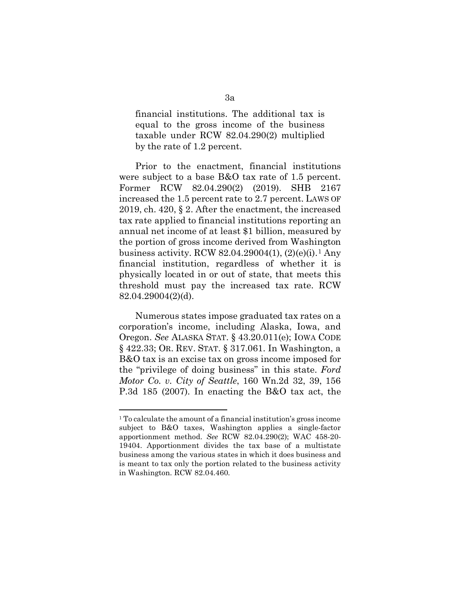financial institutions. The additional tax is equal to the gross income of the business taxable under RCW 82.04.290(2) multiplied by the rate of 1.2 percent.

Prior to the enactment, financial institutions were subject to a base B&O tax rate of 1.5 percent. Former RCW 82.04.290(2) (2019). SHB 2167 increased the 1.5 percent rate to 2.7 percent. LAWS OF 2019, ch. 420, § 2. After the enactment, the increased tax rate applied to financial institutions reporting an annual net income of at least \$1 billion, measured by the portion of gross income derived from Washington business activity. RCW  $82.04.29004(1)$  $82.04.29004(1)$  $82.04.29004(1)$ ,  $(2)(e)(i)$ .<sup>1</sup> Any financial institution, regardless of whether it is physically located in or out of state, that meets this threshold must pay the increased tax rate. RCW 82.04.29004(2)(d).

Numerous states impose graduated tax rates on a corporation's income, including Alaska, Iowa, and Oregon. *See* ALASKA STAT. § 43.20.011(e); IOWA CODE § 422.33; OR. REV. STAT. § 317.061. In Washington, a B&O tax is an excise tax on gross income imposed for the "privilege of doing business" in this state. *Ford Motor Co. v. City of Seattle*, 160 Wn.2d 32, 39, 156 P.3d 185 (2007). In enacting the B&O tax act, the

<span id="page-2-0"></span><sup>1</sup> To calculate the amount of a financial institution's gross income subject to B&O taxes, Washington applies a single-factor apportionment method. *See* RCW 82.04.290(2); WAC 458-20- 19404. Apportionment divides the tax base of a multistate business among the various states in which it does business and is meant to tax only the portion related to the business activity in Washington. RCW 82.04.460.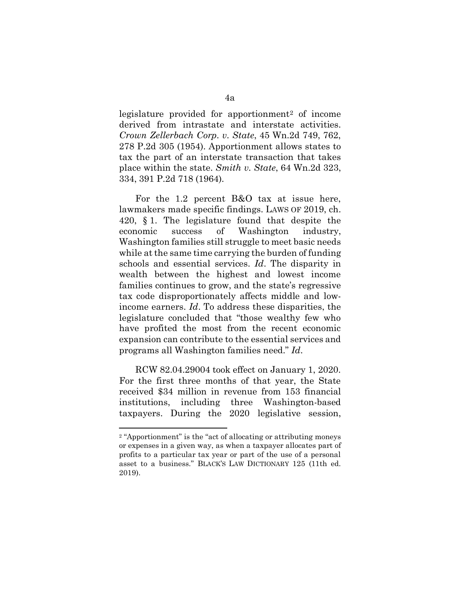legislature provided for apportionment[2](#page-3-0) of income derived from intrastate and interstate activities. *Crown Zellerbach Corp. v. State*, 45 Wn.2d 749, 762, 278 P.2d 305 (1954). Apportionment allows states to tax the part of an interstate transaction that takes place within the state. *Smith v. State*, 64 Wn.2d 323, 334, 391 P.2d 718 (1964).

For the 1.2 percent B&O tax at issue here, lawmakers made specific findings. LAWS OF 2019, ch. 420, § 1. The legislature found that despite the economic success of Washington industry, Washington families still struggle to meet basic needs while at the same time carrying the burden of funding schools and essential services. *Id*. The disparity in wealth between the highest and lowest income families continues to grow, and the state's regressive tax code disproportionately affects middle and lowincome earners. *Id*. To address these disparities, the legislature concluded that "those wealthy few who have profited the most from the recent economic expansion can contribute to the essential services and programs all Washington families need." *Id*.

RCW 82.04.29004 took effect on January 1, 2020. For the first three months of that year, the State received \$34 million in revenue from 153 financial institutions, including three Washington-based taxpayers. During the 2020 legislative session,

<span id="page-3-0"></span><sup>2</sup> "Apportionment" is the "act of allocating or attributing moneys or expenses in a given way, as when a taxpayer allocates part of profits to a particular tax year or part of the use of a personal asset to a business." BLACK'S LAW DICTIONARY 125 (11th ed. 2019).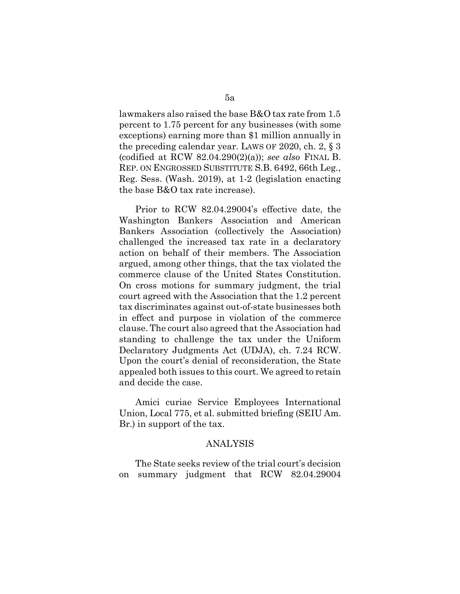lawmakers also raised the base B&O tax rate from 1.5 percent to 1.75 percent for any businesses (with some exceptions) earning more than \$1 million annually in the preceding calendar year. LAWS OF 2020, ch. 2, § 3 (codified at RCW 82.04.290(2)(a)); *see also* FINAL B. REP. ON ENGROSSED SUBSTITUTE S.B. 6492, 66th Leg., Reg. Sess. (Wash. 2019), at 1-2 (legislation enacting the base B&O tax rate increase).

Prior to RCW 82.04.29004's effective date, the Washington Bankers Association and American Bankers Association (collectively the Association) challenged the increased tax rate in a declaratory action on behalf of their members. The Association argued, among other things, that the tax violated the commerce clause of the United States Constitution. On cross motions for summary judgment, the trial court agreed with the Association that the 1.2 percent tax discriminates against out-of-state businesses both in effect and purpose in violation of the commerce clause. The court also agreed that the Association had standing to challenge the tax under the Uniform Declaratory Judgments Act (UDJA), ch. 7.24 RCW. Upon the court's denial of reconsideration, the State appealed both issues to this court. We agreed to retain and decide the case.

Amici curiae Service Employees International Union, Local 775, et al. submitted briefing (SEIU Am. Br.) in support of the tax.

#### ANALYSIS

The State seeks review of the trial court's decision on summary judgment that RCW 82.04.29004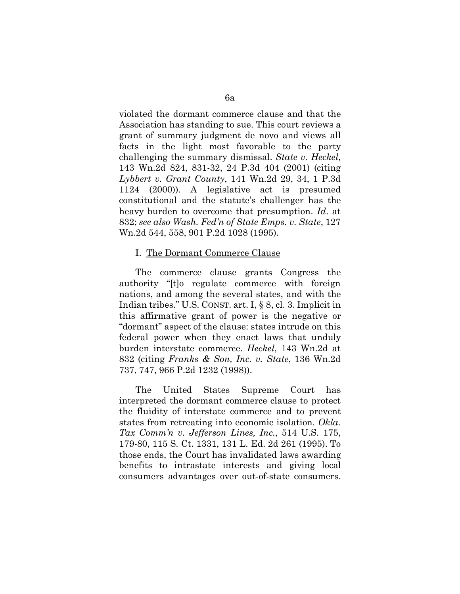violated the dormant commerce clause and that the Association has standing to sue. This court reviews a grant of summary judgment de novo and views all facts in the light most favorable to the party challenging the summary dismissal. *State v. Heckel*, 143 Wn.2d 824, 831-32, 24 P.3d 404 (2001) (citing *Lybbert v. Grant County*, 141 Wn.2d 29, 34, 1 P.3d 1124 (2000)). A legislative act is presumed constitutional and the statute's challenger has the heavy burden to overcome that presumption. *Id*. at 832; *see also Wash. Fed'n of State Emps. v. State*, 127 Wn.2d 544, 558, 901 P.2d 1028 (1995).

#### I. The Dormant Commerce Clause

The commerce clause grants Congress the authority "[t]o regulate commerce with foreign nations, and among the several states, and with the Indian tribes." U.S. CONST. art. I, § 8, cl. 3. Implicit in this affirmative grant of power is the negative or "dormant" aspect of the clause: states intrude on this federal power when they enact laws that unduly burden interstate commerce. *Heckel*, 143 Wn.2d at 832 (citing *Franks & Son, Inc. v. State*, 136 Wn.2d 737, 747, 966 P.2d 1232 (1998)).

The United States Supreme Court has interpreted the dormant commerce clause to protect the fluidity of interstate commerce and to prevent states from retreating into economic isolation. *Okla. Tax Comm'n v. Jefferson Lines, Inc.*, 514 U.S. 175, 179-80, 115 S. Ct. 1331, 131 L. Ed. 2d 261 (1995). To those ends, the Court has invalidated laws awarding benefits to intrastate interests and giving local consumers advantages over out-of-state consumers.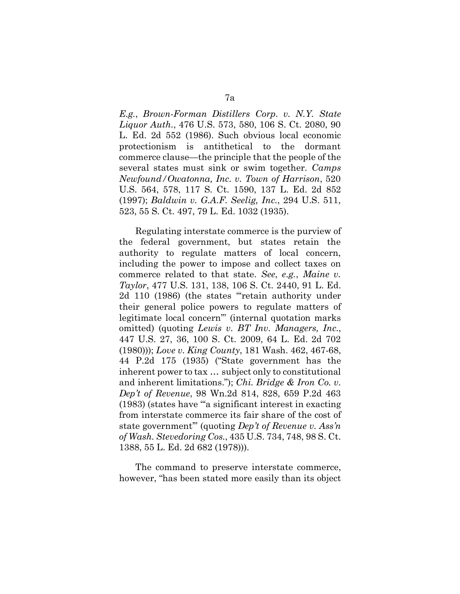*E.g.*, *Brown-Forman Distillers Corp. v. N.Y. State Liquor Auth.*, 476 U.S. 573, 580, 106 S. Ct. 2080, 90 L. Ed. 2d 552 (1986). Such obvious local economic protectionism is antithetical to the dormant commerce clause—the principle that the people of the several states must sink or swim together. *Camps Newfound/Owatonna, Inc. v. Town of Harrison*, 520 U.S. 564, 578, 117 S. Ct. 1590, 137 L. Ed. 2d 852 (1997); *Baldwin v. G.A.F. Seelig, Inc.*, 294 U.S. 511, 523, 55 S. Ct. 497, 79 L. Ed. 1032 (1935).

Regulating interstate commerce is the purview of the federal government, but states retain the authority to regulate matters of local concern, including the power to impose and collect taxes on commerce related to that state. *See*, *e.g.*, *Maine v. Taylor*, 477 U.S. 131, 138, 106 S. Ct. 2440, 91 L. Ed. 2d 110 (1986) (the states "'retain authority under their general police powers to regulate matters of legitimate local concern'" (internal quotation marks omitted) (quoting *Lewis v. BT Inv. Managers, Inc.*, 447 U.S. 27, 36, 100 S. Ct. 2009, 64 L. Ed. 2d 702 (1980))); *Love v. King County*, 181 Wash. 462, 467-68, 44 P.2d 175 (1935) ("State government has the inherent power to tax … subject only to constitutional and inherent limitations."); *Chi. Bridge & Iron Co. v. Dep't of Revenue*, 98 Wn.2d 814, 828, 659 P.2d 463 (1983) (states have "'a significant interest in exacting from interstate commerce its fair share of the cost of state government'" (quoting *Dep't of Revenue v. Ass'n of Wash. Stevedoring Cos.*, 435 U.S. 734, 748, 98 S. Ct. 1388, 55 L. Ed. 2d 682 (1978))).

The command to preserve interstate commerce, however, "has been stated more easily than its object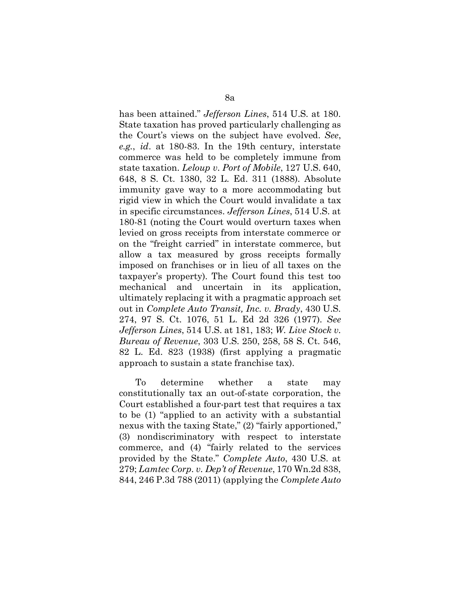has been attained." *Jefferson Lines*, 514 U.S. at 180. State taxation has proved particularly challenging as the Court's views on the subject have evolved. *See*, *e.g.*, *id*. at 180-83. In the 19th century, interstate commerce was held to be completely immune from state taxation. *Leloup v. Port of Mobile*, 127 U.S. 640, 648, 8 S. Ct. 1380, 32 L. Ed. 311 (1888). Absolute immunity gave way to a more accommodating but rigid view in which the Court would invalidate a tax in specific circumstances. *Jefferson Lines*, 514 U.S. at 180-81 (noting the Court would overturn taxes when levied on gross receipts from interstate commerce or on the "freight carried" in interstate commerce, but allow a tax measured by gross receipts formally imposed on franchises or in lieu of all taxes on the taxpayer's property). The Court found this test too mechanical and uncertain in its application, ultimately replacing it with a pragmatic approach set out in *Complete Auto Transit, Inc. v. Brady*, 430 U.S. 274, 97 S. Ct. 1076, 51 L. Ed 2d 326 (1977). *See Jefferson Lines*, 514 U.S. at 181, 183; *W. Live Stock v. Bureau of Revenue*, 303 U.S. 250, 258, 58 S. Ct. 546, 82 L. Ed. 823 (1938) (first applying a pragmatic approach to sustain a state franchise tax).

To determine whether a state may constitutionally tax an out-of-state corporation, the Court established a four-part test that requires a tax to be (1) "applied to an activity with a substantial nexus with the taxing State," (2) "fairly apportioned," (3) nondiscriminatory with respect to interstate commerce, and (4) "fairly related to the services provided by the State." *Complete Auto*, 430 U.S. at 279; *Lamtec Corp. v. Dep't of Revenue*, 170 Wn.2d 838, 844, 246 P.3d 788 (2011) (applying the *Complete Auto*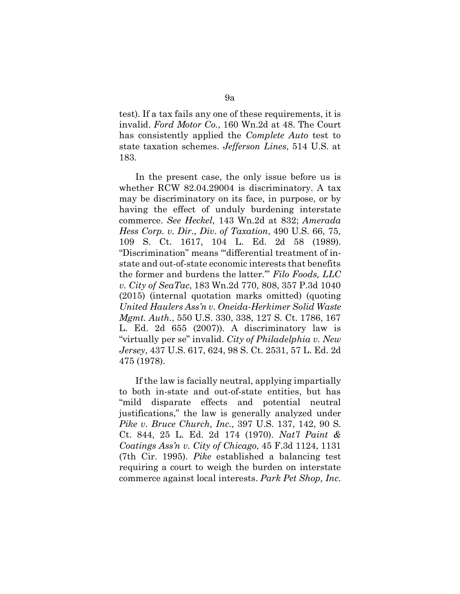test). If a tax fails any one of these requirements, it is invalid. *Ford Motor Co.*, 160 Wn.2d at 48. The Court has consistently applied the *Complete Auto* test to state taxation schemes. *Jefferson Lines*, 514 U.S. at 183.

In the present case, the only issue before us is whether RCW 82.04.29004 is discriminatory. A tax may be discriminatory on its face, in purpose, or by having the effect of unduly burdening interstate commerce. *See Heckel*, 143 Wn.2d at 832; *Amerada Hess Corp. v. Dir., Div. of Taxation*, 490 U.S. 66, 75, 109 S. Ct. 1617, 104 L. Ed. 2d 58 (1989). "Discrimination" means "'differential treatment of instate and out-of-state economic interests that benefits the former and burdens the latter.'" *Filo Foods, LLC v. City of SeaTac*, 183 Wn.2d 770, 808, 357 P.3d 1040 (2015) (internal quotation marks omitted) (quoting *United Haulers Ass'n v. Oneida-Herkimer Solid Waste Mgmt. Auth.*, 550 U.S. 330, 338, 127 S. Ct. 1786, 167 L. Ed. 2d 655 (2007)). A discriminatory law is "virtually per se" invalid. *City of Philadelphia v. New Jersey*, 437 U.S. 617, 624, 98 S. Ct. 2531, 57 L. Ed. 2d 475 (1978).

If the law is facially neutral, applying impartially to both in-state and out-of-state entities, but has "mild disparate effects and potential neutral justifications," the law is generally analyzed under *Pike v. Bruce Church, Inc.*, 397 U.S. 137, 142, 90 S. Ct. 844, 25 L. Ed. 2d 174 (1970). *Nat'l Paint & Coatings Ass'n v. City of Chicago*, 45 F.3d 1124, 1131 (7th Cir. 1995). *Pike* established a balancing test requiring a court to weigh the burden on interstate commerce against local interests. *Park Pet Shop, Inc.*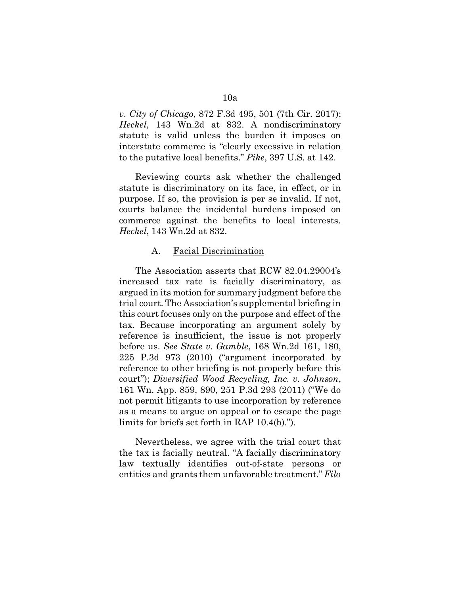*v. City of Chicago*, 872 F.3d 495, 501 (7th Cir. 2017); *Heckel*, 143 Wn.2d at 832. A nondiscriminatory statute is valid unless the burden it imposes on interstate commerce is "clearly excessive in relation to the putative local benefits." *Pike*, 397 U.S. at 142.

Reviewing courts ask whether the challenged statute is discriminatory on its face, in effect, or in purpose. If so, the provision is per se invalid. If not, courts balance the incidental burdens imposed on commerce against the benefits to local interests. *Heckel*, 143 Wn.2d at 832.

### A. Facial Discrimination

The Association asserts that RCW 82.04.29004's increased tax rate is facially discriminatory, as argued in its motion for summary judgment before the trial court. The Association's supplemental briefing in this court focuses only on the purpose and effect of the tax. Because incorporating an argument solely by reference is insufficient, the issue is not properly before us. *See State v. Gamble*, 168 Wn.2d 161, 180, 225 P.3d 973 (2010) ("argument incorporated by reference to other briefing is not properly before this court"); *Diversified Wood Recycling, Inc. v. Johnson*, 161 Wn. App. 859, 890, 251 P.3d 293 (2011) ("We do not permit litigants to use incorporation by reference as a means to argue on appeal or to escape the page limits for briefs set forth in RAP 10.4(b).").

Nevertheless, we agree with the trial court that the tax is facially neutral. "A facially discriminatory law textually identifies out-of-state persons or entities and grants them unfavorable treatment." *Filo*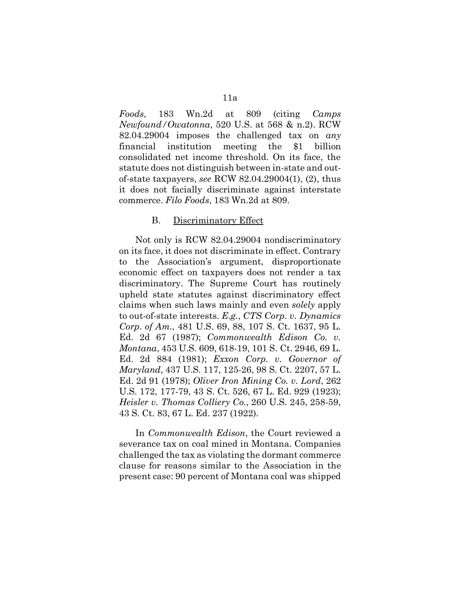*Foods*, 183 Wn.2d at 809 (citing *Camps Newfound/Owatonna*, 520 U.S. at 568 & n.2). RCW 82.04.29004 imposes the challenged tax on *any*  financial institution meeting the \$1 billion consolidated net income threshold. On its face, the statute does not distinguish between in-state and outof-state taxpayers, *see* RCW 82.04.29004(1), (2), thus it does not facially discriminate against interstate commerce. *Filo Foods*, 183 Wn.2d at 809.

### B. Discriminatory Effect

Not only is RCW 82.04.29004 nondiscriminatory on its face, it does not discriminate in effect. Contrary to the Association's argument, disproportionate economic effect on taxpayers does not render a tax discriminatory. The Supreme Court has routinely upheld state statutes against discriminatory effect claims when such laws mainly and even *solely* apply to out-of-state interests. *E.g.*, *CTS Corp. v. Dynamics Corp. of Am.*, 481 U.S. 69, 88, 107 S. Ct. 1637, 95 L. Ed. 2d 67 (1987); *Commonwealth Edison Co. v. Montana*, 453 U.S. 609, 618-19, 101 S. Ct. 2946, 69 L. Ed. 2d 884 (1981); *Exxon Corp. v. Governor of Maryland*, 437 U.S. 117, 125-26, 98 S. Ct. 2207, 57 L. Ed. 2d 91 (1978); *Oliver Iron Mining Co. v. Lord*, 262 U.S. 172, 177-79, 43 S. Ct. 526, 67 L. Ed. 929 (1923); *Heisler v. Thomas Colliery Co.*, 260 U.S. 245, 258-59, 43 S. Ct. 83, 67 L. Ed. 237 (1922).

In *Commonwealth Edison*, the Court reviewed a severance tax on coal mined in Montana. Companies challenged the tax as violating the dormant commerce clause for reasons similar to the Association in the present case: 90 percent of Montana coal was shipped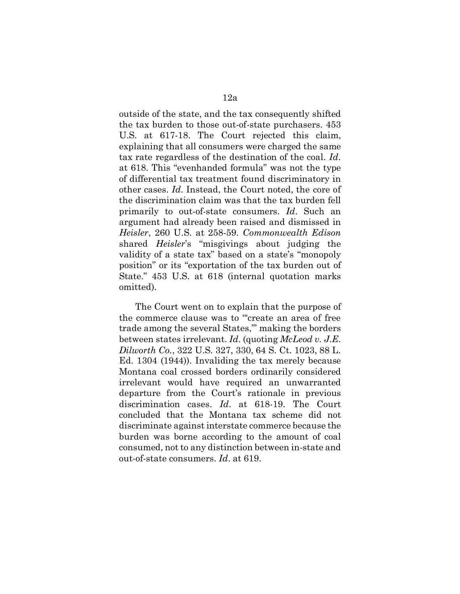outside of the state, and the tax consequently shifted the tax burden to those out-of-state purchasers. 453 U.S. at 617-18. The Court rejected this claim, explaining that all consumers were charged the same tax rate regardless of the destination of the coal. *Id*. at 618. This "evenhanded formula" was not the type of differential tax treatment found discriminatory in other cases. *Id*. Instead, the Court noted, the core of the discrimination claim was that the tax burden fell primarily to out-of-state consumers. *Id*. Such an argument had already been raised and dismissed in *Heisler*, 260 U.S. at 258-59. *Commonwealth Edison*  shared *Heisler*'s "misgivings about judging the validity of a state tax" based on a state's "monopoly position" or its "exportation of the tax burden out of State." 453 U.S. at 618 (internal quotation marks omitted).

The Court went on to explain that the purpose of the commerce clause was to "'create an area of free trade among the several States,'" making the borders between states irrelevant. *Id*. (quoting *McLeod v. J.E. Dilworth Co.*, 322 U.S. 327, 330, 64 S. Ct. 1023, 88 L. Ed. 1304 (1944)). Invaliding the tax merely because Montana coal crossed borders ordinarily considered irrelevant would have required an unwarranted departure from the Court's rationale in previous discrimination cases. *Id*. at 618-19. The Court concluded that the Montana tax scheme did not discriminate against interstate commerce because the burden was borne according to the amount of coal consumed, not to any distinction between in-state and out-of-state consumers. *Id*. at 619.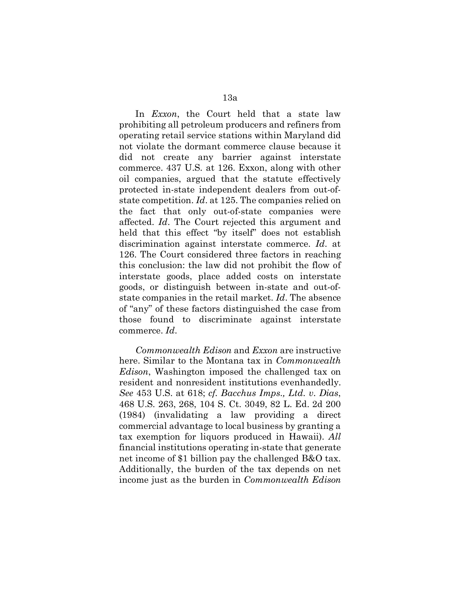In *Exxon*, the Court held that a state law prohibiting all petroleum producers and refiners from operating retail service stations within Maryland did not violate the dormant commerce clause because it did not create any barrier against interstate commerce. 437 U.S. at 126. Exxon, along with other oil companies, argued that the statute effectively protected in-state independent dealers from out-ofstate competition. *Id*. at 125. The companies relied on the fact that only out-of-state companies were affected. *Id*. The Court rejected this argument and held that this effect "by itself" does not establish discrimination against interstate commerce. *Id*. at 126. The Court considered three factors in reaching this conclusion: the law did not prohibit the flow of interstate goods, place added costs on interstate goods, or distinguish between in-state and out-ofstate companies in the retail market. *Id*. The absence of "any" of these factors distinguished the case from those found to discriminate against interstate commerce. *Id*.

*Commonwealth Edison* and *Exxon* are instructive here. Similar to the Montana tax in *Commonwealth Edison*, Washington imposed the challenged tax on resident and nonresident institutions evenhandedly. *See* 453 U.S. at 618; *cf. Bacchus Imps., Ltd. v. Dias*, 468 U.S. 263, 268, 104 S. Ct. 3049, 82 L. Ed. 2d 200 (1984) (invalidating a law providing a direct commercial advantage to local business by granting a tax exemption for liquors produced in Hawaii). *All*  financial institutions operating in-state that generate net income of \$1 billion pay the challenged B&O tax. Additionally, the burden of the tax depends on net income just as the burden in *Commonwealth Edison*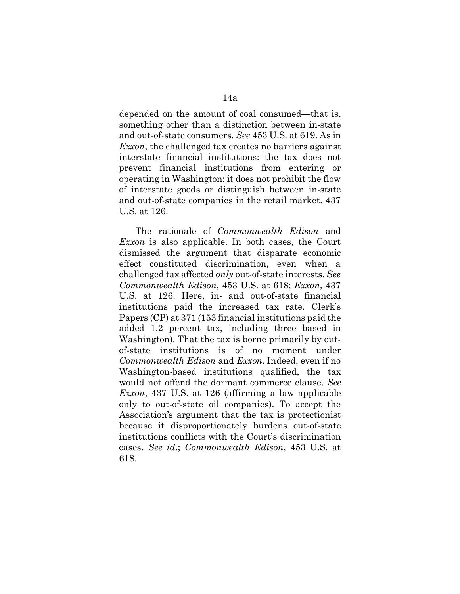depended on the amount of coal consumed—that is, something other than a distinction between in-state and out-of-state consumers. *See* 453 U.S. at 619. As in *Exxon*, the challenged tax creates no barriers against interstate financial institutions: the tax does not prevent financial institutions from entering or operating in Washington; it does not prohibit the flow of interstate goods or distinguish between in-state and out-of-state companies in the retail market. 437 U.S. at 126.

The rationale of *Commonwealth Edison* and *Exxon* is also applicable. In both cases, the Court dismissed the argument that disparate economic effect constituted discrimination, even when a challenged tax affected *only* out-of-state interests. *See Commonwealth Edison*, 453 U.S. at 618; *Exxon*, 437 U.S. at 126. Here, in- and out-of-state financial institutions paid the increased tax rate. Clerk's Papers (CP) at 371 (153 financial institutions paid the added 1.2 percent tax, including three based in Washington). That the tax is borne primarily by outof-state institutions is of no moment under *Commonwealth Edison* and *Exxon*. Indeed, even if no Washington-based institutions qualified, the tax would not offend the dormant commerce clause. *See Exxon*, 437 U.S. at 126 (affirming a law applicable only to out-of-state oil companies). To accept the Association's argument that the tax is protectionist because it disproportionately burdens out-of-state institutions conflicts with the Court's discrimination cases. *See id*.; *Commonwealth Edison*, 453 U.S. at 618.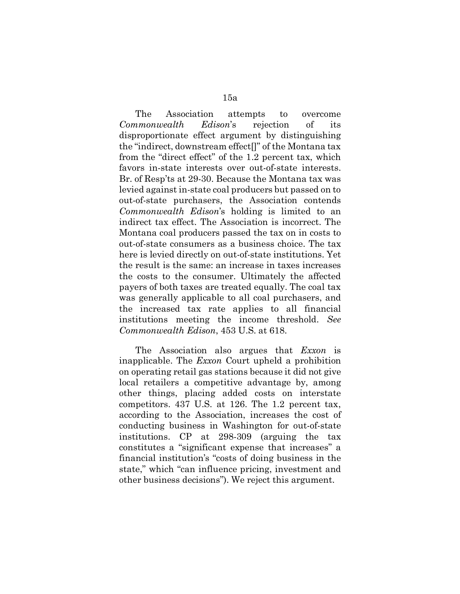The Association attempts to overcome *Commonwealth Edison*'s rejection of its disproportionate effect argument by distinguishing the "indirect, downstream effect[]" of the Montana tax from the "direct effect" of the 1.2 percent tax, which favors in-state interests over out-of-state interests. Br. of Resp'ts at 29-30. Because the Montana tax was levied against in-state coal producers but passed on to out-of-state purchasers, the Association contends *Commonwealth Edison*'s holding is limited to an indirect tax effect. The Association is incorrect. The Montana coal producers passed the tax on in costs to out-of-state consumers as a business choice. The tax here is levied directly on out-of-state institutions. Yet the result is the same: an increase in taxes increases the costs to the consumer. Ultimately the affected payers of both taxes are treated equally. The coal tax was generally applicable to all coal purchasers, and the increased tax rate applies to all financial institutions meeting the income threshold. *See Commonwealth Edison*, 453 U.S. at 618.

The Association also argues that *Exxon* is inapplicable. The *Exxon* Court upheld a prohibition on operating retail gas stations because it did not give local retailers a competitive advantage by, among other things, placing added costs on interstate competitors. 437 U.S. at 126. The 1.2 percent tax, according to the Association, increases the cost of conducting business in Washington for out-of-state institutions. CP at 298-309 (arguing the tax constitutes a "significant expense that increases" a financial institution's "costs of doing business in the state," which "can influence pricing, investment and other business decisions"). We reject this argument.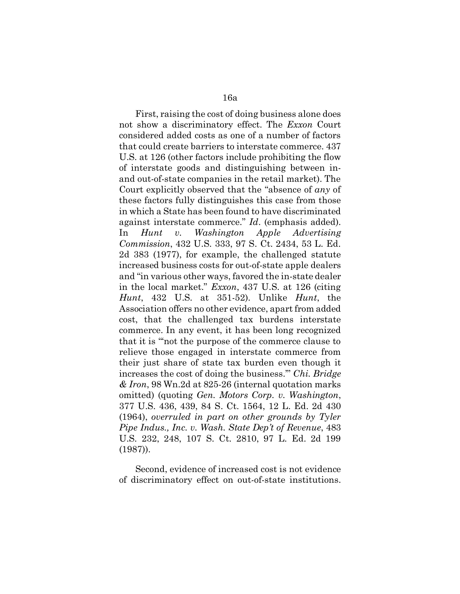First, raising the cost of doing business alone does not show a discriminatory effect. The *Exxon* Court considered added costs as one of a number of factors that could create barriers to interstate commerce. 437 U.S. at 126 (other factors include prohibiting the flow of interstate goods and distinguishing between inand out-of-state companies in the retail market). The Court explicitly observed that the "absence of *any* of these factors fully distinguishes this case from those in which a State has been found to have discriminated against interstate commerce." *Id*. (emphasis added). In *Hunt v. Washington Apple Advertising Commission*, 432 U.S. 333, 97 S. Ct. 2434, 53 L. Ed. 2d 383 (1977), for example, the challenged statute increased business costs for out-of-state apple dealers and "in various other ways, favored the in-state dealer in the local market." *Exxon*, 437 U.S. at 126 (citing *Hunt*, 432 U.S. at 351-52). Unlike *Hunt*, the Association offers no other evidence, apart from added cost, that the challenged tax burdens interstate commerce. In any event, it has been long recognized that it is "'not the purpose of the commerce clause to relieve those engaged in interstate commerce from their just share of state tax burden even though it increases the cost of doing the business.'" *Chi. Bridge & Iron*, 98 Wn.2d at 825-26 (internal quotation marks omitted) (quoting *Gen. Motors Corp. v. Washington*, 377 U.S. 436, 439, 84 S. Ct. 1564, 12 L. Ed. 2d 430 (1964), *overruled in part on other grounds by Tyler Pipe Indus., Inc. v. Wash. State Dep't of Revenue*, 483 U.S. 232, 248, 107 S. Ct. 2810, 97 L. Ed. 2d 199 (1987)).

Second, evidence of increased cost is not evidence of discriminatory effect on out-of-state institutions.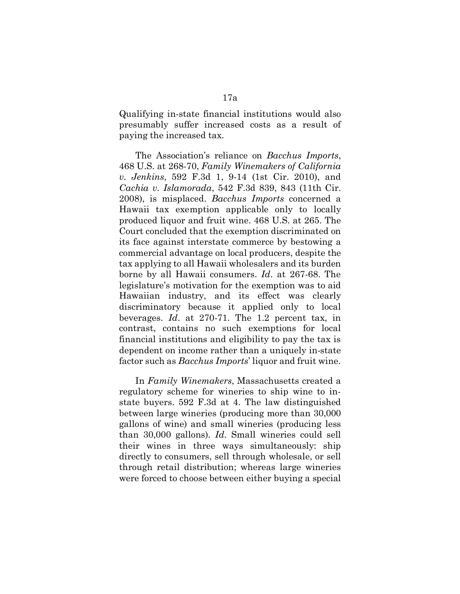Qualifying in-state financial institutions would also presumably suffer increased costs as a result of paying the increased tax.

The Association's reliance on *Bacchus Imports*, 468 U.S. at 268-70, *Family Winemakers of California v. Jenkins*, 592 F.3d 1, 9-14 (1st Cir. 2010), and *Cachia v. Islamorada*, 542 F.3d 839, 843 (11th Cir. 2008), is misplaced. *Bacchus Imports* concerned a Hawaii tax exemption applicable only to locally produced liquor and fruit wine. 468 U.S. at 265. The Court concluded that the exemption discriminated on its face against interstate commerce by bestowing a commercial advantage on local producers, despite the tax applying to all Hawaii wholesalers and its burden borne by all Hawaii consumers. *Id*. at 267-68. The legislature's motivation for the exemption was to aid Hawaiian industry, and its effect was clearly discriminatory because it applied only to local beverages. *Id*. at 270-71. The 1.2 percent tax, in contrast, contains no such exemptions for local financial institutions and eligibility to pay the tax is dependent on income rather than a uniquely in-state factor such as *Bacchus Imports*' liquor and fruit wine.

In *Family Winemakers*, Massachusetts created a regulatory scheme for wineries to ship wine to instate buyers. 592 F.3d at 4. The law distinguished between large wineries (producing more than 30,000 gallons of wine) and small wineries (producing less than 30,000 gallons). *Id*. Small wineries could sell their wines in three ways simultaneously: ship directly to consumers, sell through wholesale, or sell through retail distribution; whereas large wineries were forced to choose between either buying a special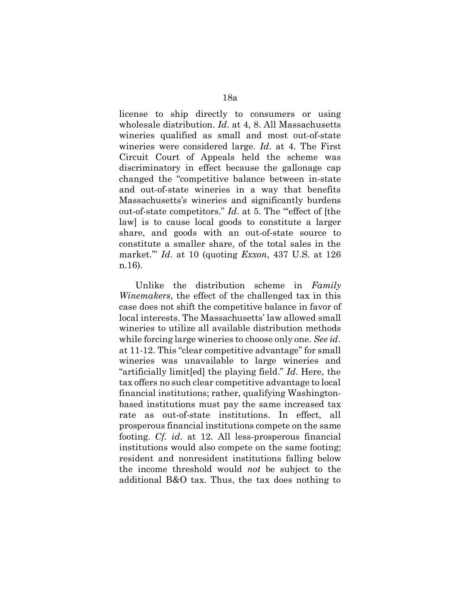license to ship directly to consumers or using wholesale distribution. *Id*. at 4, 8. All Massachusetts wineries qualified as small and most out-of-state wineries were considered large. *Id*. at 4. The First Circuit Court of Appeals held the scheme was discriminatory in effect because the gallonage cap changed the "competitive balance between in-state and out-of-state wineries in a way that benefits Massachusetts's wineries and significantly burdens out-of-state competitors." *Id.* at 5. The ""effect of [the law] is to cause local goods to constitute a larger share, and goods with an out-of-state source to constitute a smaller share, of the total sales in the market.'" *Id*. at 10 (quoting *Exxon*, 437 U.S. at 126 n.16).

Unlike the distribution scheme in *Family Winemakers*, the effect of the challenged tax in this case does not shift the competitive balance in favor of local interests. The Massachusetts' law allowed small wineries to utilize all available distribution methods while forcing large wineries to choose only one. *See id*. at 11-12. This "clear competitive advantage" for small wineries was unavailable to large wineries and "artificially limit[ed] the playing field." *Id*. Here, the tax offers no such clear competitive advantage to local financial institutions; rather, qualifying Washingtonbased institutions must pay the same increased tax rate as out-of-state institutions. In effect, all prosperous financial institutions compete on the same footing. *Cf. id*. at 12. All less-prosperous financial institutions would also compete on the same footing; resident and nonresident institutions falling below the income threshold would *not* be subject to the additional B&O tax. Thus, the tax does nothing to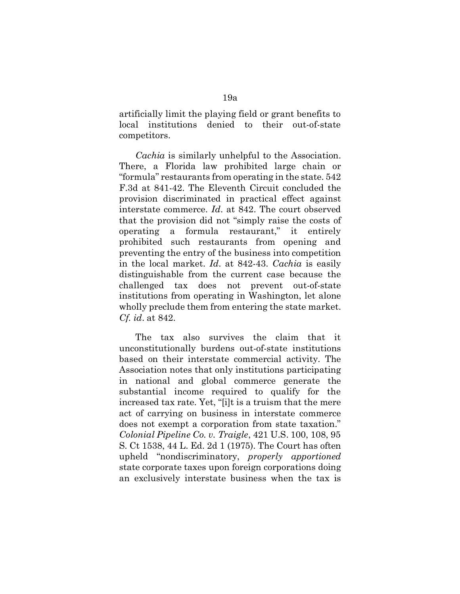artificially limit the playing field or grant benefits to local institutions denied to their out-of-state competitors.

*Cachia* is similarly unhelpful to the Association. There, a Florida law prohibited large chain or "formula" restaurants from operating in the state. 542 F.3d at 841-42. The Eleventh Circuit concluded the provision discriminated in practical effect against interstate commerce. *Id*. at 842. The court observed that the provision did not "simply raise the costs of operating a formula restaurant," it entirely prohibited such restaurants from opening and preventing the entry of the business into competition in the local market. *Id*. at 842-43. *Cachia* is easily distinguishable from the current case because the challenged tax does not prevent out-of-state institutions from operating in Washington, let alone wholly preclude them from entering the state market. *Cf. id*. at 842.

The tax also survives the claim that it unconstitutionally burdens out-of-state institutions based on their interstate commercial activity. The Association notes that only institutions participating in national and global commerce generate the substantial income required to qualify for the increased tax rate. Yet, "[i]t is a truism that the mere act of carrying on business in interstate commerce does not exempt a corporation from state taxation." *Colonial Pipeline Co. v. Traigle*, 421 U.S. 100, 108, 95 S. Ct 1538, 44 L. Ed. 2d 1 (1975). The Court has often upheld "nondiscriminatory, *properly apportioned*  state corporate taxes upon foreign corporations doing an exclusively interstate business when the tax is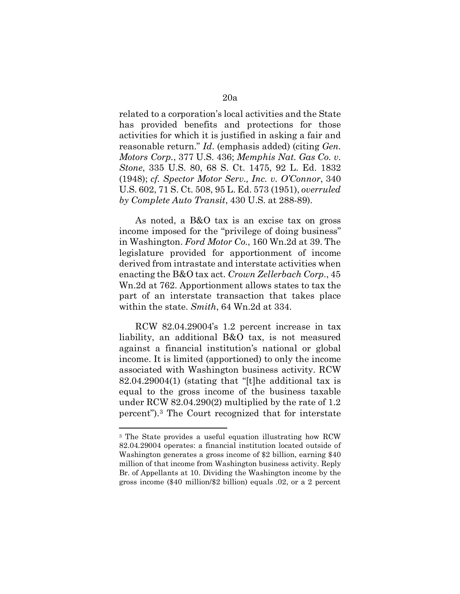related to a corporation's local activities and the State has provided benefits and protections for those activities for which it is justified in asking a fair and reasonable return." *Id*. (emphasis added) (citing *Gen. Motors Corp.*, 377 U.S. 436; *Memphis Nat. Gas Co. v. Stone*, 335 U.S. 80, 68 S. Ct. 1475, 92 L. Ed. 1832 (1948); *cf. Spector Motor Serv., Inc. v. O'Connor*, 340 U.S. 602, 71 S. Ct. 508, 95 L. Ed. 573 (1951), *overruled by Complete Auto Transit*, 430 U.S. at 288-89).

As noted, a B&O tax is an excise tax on gross income imposed for the "privilege of doing business" in Washington. *Ford Motor Co.*, 160 Wn.2d at 39. The legislature provided for apportionment of income derived from intrastate and interstate activities when enacting the B&O tax act. *Crown Zellerbach Corp.*, 45 Wn.2d at 762. Apportionment allows states to tax the part of an interstate transaction that takes place within the state. *Smith*, 64 Wn.2d at 334.

RCW 82.04.29004's 1.2 percent increase in tax liability, an additional B&O tax, is not measured against a financial institution's national or global income. It is limited (apportioned) to only the income associated with Washington business activity. RCW 82.04.29004(1) (stating that "[t]he additional tax is equal to the gross income of the business taxable under RCW 82.04.290(2) multiplied by the rate of 1.2 percent")[.3](#page-19-0) The Court recognized that for interstate

<span id="page-19-0"></span><sup>3</sup> The State provides a useful equation illustrating how RCW 82.04.29004 operates: a financial institution located outside of Washington generates a gross income of \$2 billion, earning \$40 million of that income from Washington business activity. Reply Br. of Appellants at 10. Dividing the Washington income by the gross income (\$40 million/\$2 billion) equals .02, or a 2 percent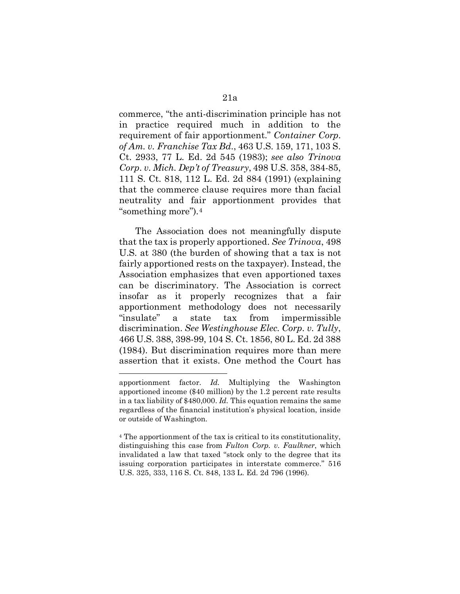commerce, "the anti-discrimination principle has not in practice required much in addition to the requirement of fair apportionment." *Container Corp. of Am. v. Franchise Tax Bd.*, 463 U.S. 159, 171, 103 S. Ct. 2933, 77 L. Ed. 2d 545 (1983); *see also Trinova Corp. v. Mich. Dep't of Treasury*, 498 U.S. 358, 384-85, 111 S. Ct. 818, 112 L. Ed. 2d 884 (1991) (explaining that the commerce clause requires more than facial neutrality and fair apportionment provides that "something more").[4](#page-20-0)

The Association does not meaningfully dispute that the tax is properly apportioned. *See Trinova*, 498 U.S. at 380 (the burden of showing that a tax is not fairly apportioned rests on the taxpayer). Instead, the Association emphasizes that even apportioned taxes can be discriminatory. The Association is correct insofar as it properly recognizes that a fair apportionment methodology does not necessarily "insulate" a state tax from impermissible discrimination. *See Westinghouse Elec. Corp. v. Tully*, 466 U.S. 388, 398-99, 104 S. Ct. 1856, 80 L. Ed. 2d 388 (1984). But discrimination requires more than mere assertion that it exists. One method the Court has

apportionment factor. *Id.* Multiplying the Washington apportioned income (\$40 million) by the 1.2 percent rate results in a tax liability of \$480,000. *Id.* This equation remains the same regardless of the financial institution's physical location, inside or outside of Washington.

<span id="page-20-0"></span><sup>4</sup> The apportionment of the tax is critical to its constitutionality, distinguishing this case from *Fulton Corp. v. Faulkner*, which invalidated a law that taxed "stock only to the degree that its issuing corporation participates in interstate commerce." 516 U.S. 325, 333, 116 S. Ct. 848, 133 L. Ed. 2d 796 (1996).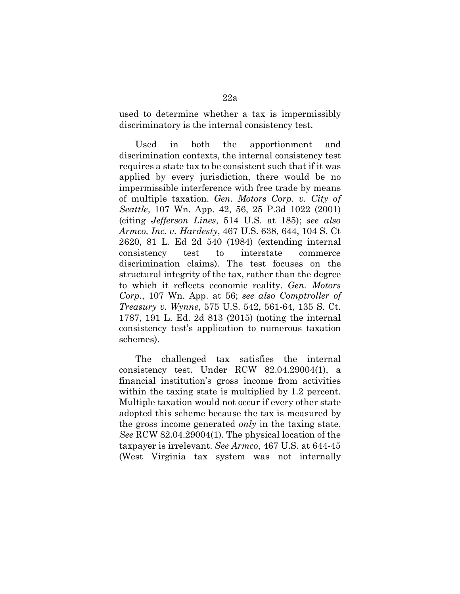used to determine whether a tax is impermissibly discriminatory is the internal consistency test.

Used in both the apportionment and discrimination contexts, the internal consistency test requires a state tax to be consistent such that if it was applied by every jurisdiction, there would be no impermissible interference with free trade by means of multiple taxation. *Gen. Motors Corp. v. City of Seattle*, 107 Wn. App. 42, 56, 25 P.3d 1022 (2001) (citing *Jefferson Lines*, 514 U.S. at 185); *see also Armco, Inc. v. Hardesty*, 467 U.S. 638, 644, 104 S. Ct 2620, 81 L. Ed 2d 540 (1984) (extending internal consistency test to interstate commerce discrimination claims). The test focuses on the structural integrity of the tax, rather than the degree to which it reflects economic reality. *Gen. Motors Corp.*, 107 Wn. App. at 56; *see also Comptroller of Treasury v. Wynne*, 575 U.S. 542, 561-64, 135 S. Ct. 1787, 191 L. Ed. 2d 813 (2015) (noting the internal consistency test's application to numerous taxation schemes).

The challenged tax satisfies the internal consistency test. Under RCW 82.04.29004(1), a financial institution's gross income from activities within the taxing state is multiplied by 1.2 percent. Multiple taxation would not occur if every other state adopted this scheme because the tax is measured by the gross income generated *only* in the taxing state. *See* RCW 82.04.29004(1). The physical location of the taxpayer is irrelevant. *See Armco*, 467 U.S. at 644-45 (West Virginia tax system was not internally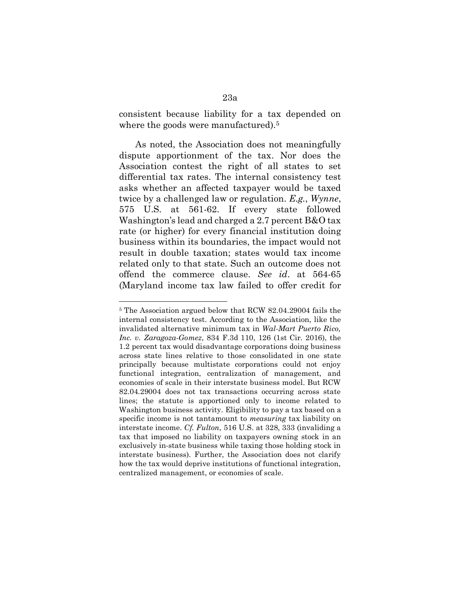consistent because liability for a tax depended on where the goods were manufactured).<sup>5</sup>

As noted, the Association does not meaningfully dispute apportionment of the tax. Nor does the Association contest the right of all states to set differential tax rates. The internal consistency test asks whether an affected taxpayer would be taxed twice by a challenged law or regulation. *E.g.*, *Wynne*, 575 U.S. at 561-62. If every state followed Washington's lead and charged a 2.7 percent B&O tax rate (or higher) for every financial institution doing business within its boundaries, the impact would not result in double taxation; states would tax income related only to that state. Such an outcome does not offend the commerce clause. *See id*. at 564-65 (Maryland income tax law failed to offer credit for

<span id="page-22-0"></span><sup>5</sup> The Association argued below that RCW 82.04.29004 fails the internal consistency test. According to the Association, like the invalidated alternative minimum tax in *Wal-Mart Puerto Rico, Inc. v. Zaragoza-Gomez*, 834 F.3d 110, 126 (1st Cir. 2016), the 1.2 percent tax would disadvantage corporations doing business across state lines relative to those consolidated in one state principally because multistate corporations could not enjoy functional integration, centralization of management, and economies of scale in their interstate business model. But RCW 82.04.29004 does not tax transactions occurring across state lines; the statute is apportioned only to income related to Washington business activity. Eligibility to pay a tax based on a specific income is not tantamount to *measuring* tax liability on interstate income. *Cf. Fulton*, 516 U.S. at 328, 333 (invaliding a tax that imposed no liability on taxpayers owning stock in an exclusively in-state business while taxing those holding stock in interstate business). Further, the Association does not clarify how the tax would deprive institutions of functional integration, centralized management, or economies of scale.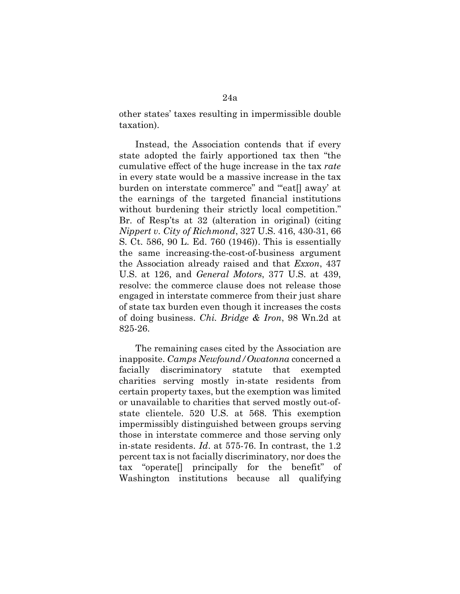other states' taxes resulting in impermissible double taxation).

Instead, the Association contends that if every state adopted the fairly apportioned tax then "the cumulative effect of the huge increase in the tax *rate*  in every state would be a massive increase in the tax burden on interstate commerce" and "'eat[] away' at the earnings of the targeted financial institutions without burdening their strictly local competition." Br. of Resp'ts at 32 (alteration in original) (citing *Nippert v. City of Richmond*, 327 U.S. 416, 430-31, 66 S. Ct. 586, 90 L. Ed. 760 (1946)). This is essentially the same increasing-the-cost-of-business argument the Association already raised and that *Exxon*, 437 U.S. at 126, and *General Motors*, 377 U.S. at 439, resolve: the commerce clause does not release those engaged in interstate commerce from their just share of state tax burden even though it increases the costs of doing business. *Chi. Bridge & Iron*, 98 Wn.2d at 825-26.

The remaining cases cited by the Association are inapposite. *Camps Newfound/Owatonna* concerned a facially discriminatory statute that exempted charities serving mostly in-state residents from certain property taxes, but the exemption was limited or unavailable to charities that served mostly out-ofstate clientele. 520 U.S. at 568. This exemption impermissibly distinguished between groups serving those in interstate commerce and those serving only in-state residents. *Id*. at 575-76. In contrast, the 1.2 percent tax is not facially discriminatory, nor does the tax "operate[] principally for the benefit" of Washington institutions because all qualifying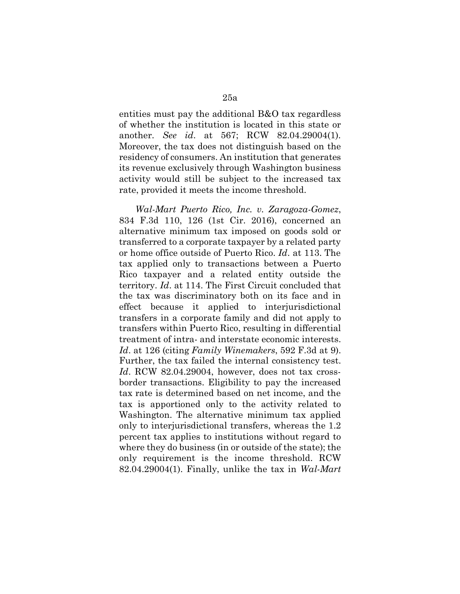entities must pay the additional B&O tax regardless of whether the institution is located in this state or another. *See id*. at 567; RCW 82.04.29004(1). Moreover, the tax does not distinguish based on the residency of consumers. An institution that generates its revenue exclusively through Washington business activity would still be subject to the increased tax rate, provided it meets the income threshold.

*Wal-Mart Puerto Rico, Inc. v. Zaragoza-Gomez*, 834 F.3d 110, 126 (1st Cir. 2016), concerned an alternative minimum tax imposed on goods sold or transferred to a corporate taxpayer by a related party or home office outside of Puerto Rico. *Id*. at 113. The tax applied only to transactions between a Puerto Rico taxpayer and a related entity outside the territory. *Id*. at 114. The First Circuit concluded that the tax was discriminatory both on its face and in effect because it applied to interjurisdictional transfers in a corporate family and did not apply to transfers within Puerto Rico, resulting in differential treatment of intra- and interstate economic interests. *Id*. at 126 (citing *Family Winemakers*, 592 F.3d at 9). Further, the tax failed the internal consistency test. *Id*. RCW 82.04.29004, however, does not tax crossborder transactions. Eligibility to pay the increased tax rate is determined based on net income, and the tax is apportioned only to the activity related to Washington. The alternative minimum tax applied only to interjurisdictional transfers, whereas the 1.2 percent tax applies to institutions without regard to where they do business (in or outside of the state); the only requirement is the income threshold. RCW 82.04.29004(1). Finally, unlike the tax in *Wal-Mart*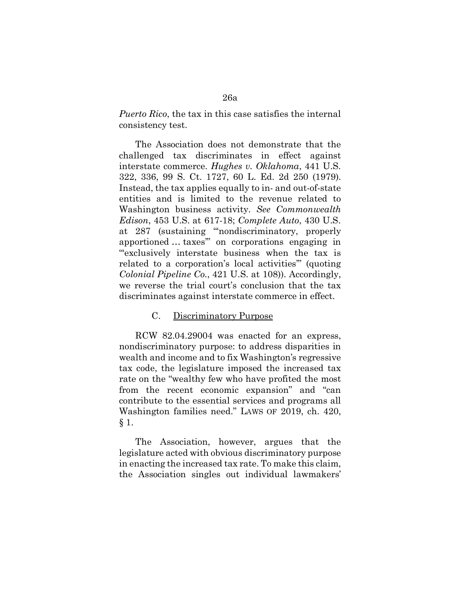*Puerto Rico*, the tax in this case satisfies the internal consistency test.

The Association does not demonstrate that the challenged tax discriminates in effect against interstate commerce. *Hughes v. Oklahoma*, 441 U.S. 322, 336, 99 S. Ct. 1727, 60 L. Ed. 2d 250 (1979). Instead, the tax applies equally to in- and out-of-state entities and is limited to the revenue related to Washington business activity. *See Commonwealth Edison*, 453 U.S. at 617-18; *Complete Auto*, 430 U.S. at 287 (sustaining "'nondiscriminatory, properly apportioned … taxes'" on corporations engaging in "'exclusively interstate business when the tax is related to a corporation's local activities'" (quoting *Colonial Pipeline Co.*, 421 U.S. at 108)). Accordingly, we reverse the trial court's conclusion that the tax discriminates against interstate commerce in effect.

### C. Discriminatory Purpose

RCW 82.04.29004 was enacted for an express, nondiscriminatory purpose: to address disparities in wealth and income and to fix Washington's regressive tax code, the legislature imposed the increased tax rate on the "wealthy few who have profited the most from the recent economic expansion" and "can contribute to the essential services and programs all Washington families need." LAWS OF 2019, ch. 420, § 1.

The Association, however, argues that the legislature acted with obvious discriminatory purpose in enacting the increased tax rate. To make this claim, the Association singles out individual lawmakers'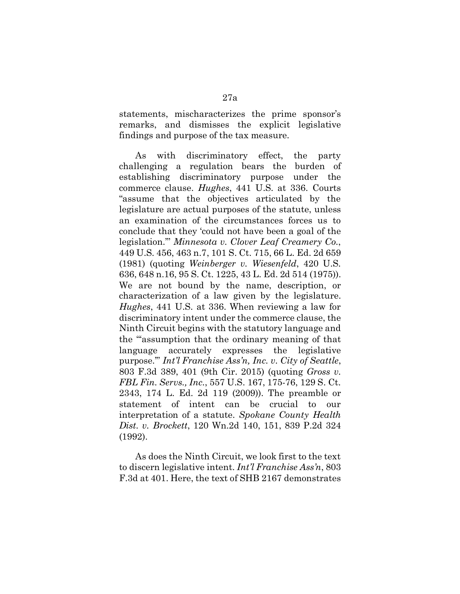statements, mischaracterizes the prime sponsor's remarks, and dismisses the explicit legislative findings and purpose of the tax measure.

As with discriminatory effect, the party challenging a regulation bears the burden of establishing discriminatory purpose under the commerce clause. *Hughes*, 441 U.S. at 336. Courts "assume that the objectives articulated by the legislature are actual purposes of the statute, unless an examination of the circumstances forces us to conclude that they 'could not have been a goal of the legislation.'" *Minnesota v. Clover Leaf Creamery Co.*, 449 U.S. 456, 463 n.7, 101 S. Ct. 715, 66 L. Ed. 2d 659 (1981) (quoting *Weinberger v. Wiesenfeld*, 420 U.S. 636, 648 n.16, 95 S. Ct. 1225, 43 L. Ed. 2d 514 (1975)). We are not bound by the name, description, or characterization of a law given by the legislature. *Hughes*, 441 U.S. at 336. When reviewing a law for discriminatory intent under the commerce clause, the Ninth Circuit begins with the statutory language and the "'assumption that the ordinary meaning of that language accurately expresses the legislative purpose.'" *Int'l Franchise Ass'n, Inc. v. City of Seattle*, 803 F.3d 389, 401 (9th Cir. 2015) (quoting *Gross v. FBL Fin. Servs., Inc.*, 557 U.S. 167, 175-76, 129 S. Ct. 2343, 174 L. Ed. 2d 119 (2009)). The preamble or statement of intent can be crucial to our interpretation of a statute. *Spokane County Health Dist. v. Brockett*, 120 Wn.2d 140, 151, 839 P.2d 324 (1992).

As does the Ninth Circuit, we look first to the text to discern legislative intent. *Int'l Franchise Ass'n*, 803 F.3d at 401. Here, the text of SHB 2167 demonstrates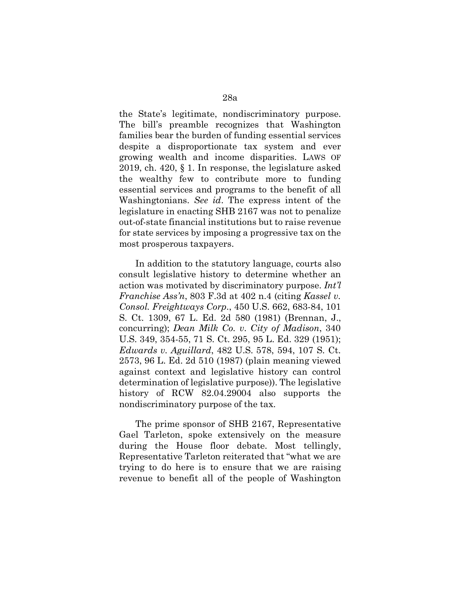the State's legitimate, nondiscriminatory purpose. The bill's preamble recognizes that Washington families bear the burden of funding essential services despite a disproportionate tax system and ever growing wealth and income disparities. LAWS OF 2019, ch. 420, § 1. In response, the legislature asked the wealthy few to contribute more to funding essential services and programs to the benefit of all Washingtonians. *See id*. The express intent of the legislature in enacting SHB 2167 was not to penalize out-of-state financial institutions but to raise revenue for state services by imposing a progressive tax on the most prosperous taxpayers.

In addition to the statutory language, courts also consult legislative history to determine whether an action was motivated by discriminatory purpose. *Int'l Franchise Ass'n*, 803 F.3d at 402 n.4 (citing *Kassel v. Consol. Freightways Corp.*, 450 U.S. 662, 683-84, 101 S. Ct. 1309, 67 L. Ed. 2d 580 (1981) (Brennan, J., concurring); *Dean Milk Co. v. City of Madison*, 340 U.S. 349, 354-55, 71 S. Ct. 295, 95 L. Ed. 329 (1951); *Edwards v. Aguillard*, 482 U.S. 578, 594, 107 S. Ct. 2573, 96 L. Ed. 2d 510 (1987) (plain meaning viewed against context and legislative history can control determination of legislative purpose)). The legislative history of RCW 82.04.29004 also supports the nondiscriminatory purpose of the tax.

The prime sponsor of SHB 2167, Representative Gael Tarleton, spoke extensively on the measure during the House floor debate. Most tellingly, Representative Tarleton reiterated that "what we are trying to do here is to ensure that we are raising revenue to benefit all of the people of Washington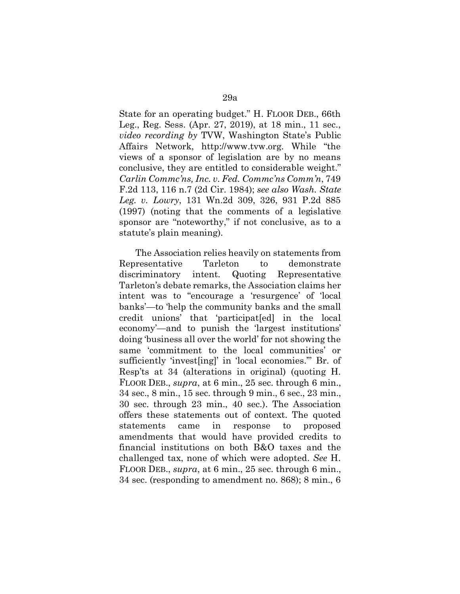State for an operating budget." H. FLOOR DEB., 66th Leg., Reg. Sess. (Apr. 27, 2019), at 18 min., 11 sec., *video recording by* TVW, Washington State's Public Affairs Network, [http://www.tvw.org.](http://www.tvw.org/) While "the views of a sponsor of legislation are by no means conclusive, they are entitled to considerable weight." *Carlin Commc'ns, Inc. v. Fed. Commc'ns Comm'n*, 749 F.2d 113, 116 n.7 (2d Cir. 1984); *see also Wash. State Leg. v. Lowry*, 131 Wn.2d 309, 326, 931 P.2d 885 (1997) (noting that the comments of a legislative sponsor are "noteworthy," if not conclusive, as to a statute's plain meaning).

The Association relies heavily on statements from Representative Tarleton to demonstrate discriminatory intent. Quoting Representative Tarleton's debate remarks, the Association claims her intent was to "encourage a 'resurgence' of 'local banks'—to 'help the community banks and the small credit unions' that 'participat[ed] in the local economy'—and to punish the 'largest institutions' doing 'business all over the world' for not showing the same 'commitment to the local communities' or sufficiently 'invest[ing]' in 'local economies.'" Br. of Resp'ts at 34 (alterations in original) (quoting H. FLOOR DEB., *supra*, at 6 min., 25 sec. through 6 min., 34 sec., 8 min., 15 sec. through 9 min., 6 sec., 23 min., 30 sec. through 23 min., 40 sec.). The Association offers these statements out of context. The quoted statements came in response to proposed amendments that would have provided credits to financial institutions on both B&O taxes and the challenged tax, none of which were adopted. *See* H. FLOOR DEB., *supra*, at 6 min., 25 sec. through 6 min., 34 sec. (responding to amendment no. 868); 8 min., 6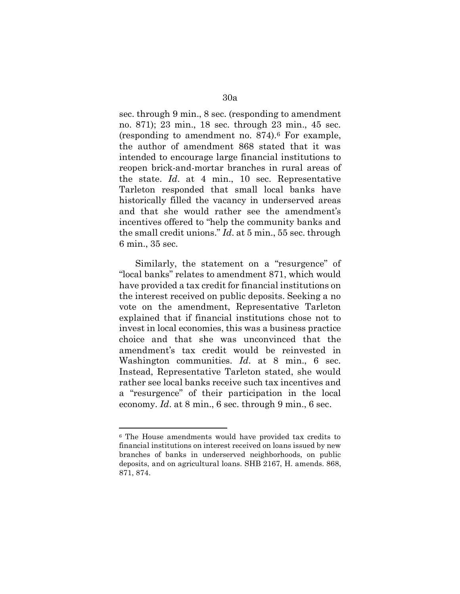sec. through 9 min., 8 sec. (responding to amendment no. 871); 23 min., 18 sec. through 23 min., 45 sec. (responding to amendment no. 874).[6](#page-29-0) For example, the author of amendment 868 stated that it was intended to encourage large financial institutions to reopen brick-and-mortar branches in rural areas of the state. *Id*. at 4 min., 10 sec. Representative Tarleton responded that small local banks have historically filled the vacancy in underserved areas and that she would rather see the amendment's incentives offered to "help the community banks and the small credit unions." *Id*. at 5 min., 55 sec. through 6 min., 35 sec.

Similarly, the statement on a "resurgence" of "local banks" relates to amendment 871, which would have provided a tax credit for financial institutions on the interest received on public deposits. Seeking a no vote on the amendment, Representative Tarleton explained that if financial institutions chose not to invest in local economies, this was a business practice choice and that she was unconvinced that the amendment's tax credit would be reinvested in Washington communities. *Id*. at 8 min., 6 sec. Instead, Representative Tarleton stated, she would rather see local banks receive such tax incentives and a "resurgence" of their participation in the local economy. *Id*. at 8 min., 6 sec. through 9 min., 6 sec.

<span id="page-29-0"></span><sup>6</sup> The House amendments would have provided tax credits to financial institutions on interest received on loans issued by new branches of banks in underserved neighborhoods, on public deposits, and on agricultural loans. SHB 2167, H. amends. 868, 871, 874.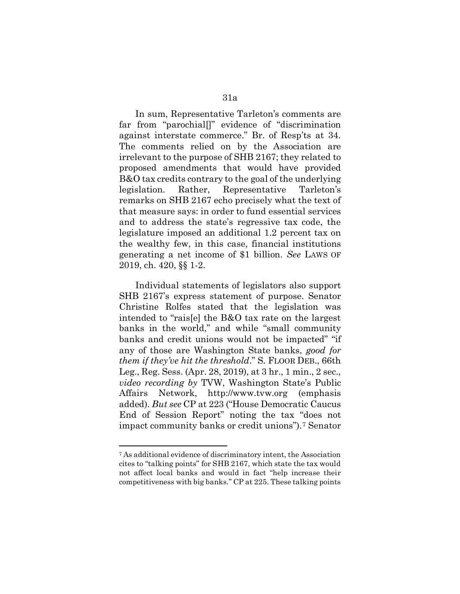In sum, Representative Tarleton's comments are far from "parochial<sup>"</sup> evidence of "discrimination" against interstate commerce." Br. of Resp'ts at 34. The comments relied on by the Association are irrelevant to the purpose of SHB 2167; they related to proposed amendments that would have provided B&O tax credits contrary to the goal of the underlying legislation. Rather, Representative Tarleton's remarks on SHB 2167 echo precisely what the text of that measure says: in order to fund essential services and to address the state's regressive tax code, the legislature imposed an additional 1.2 percent tax on the wealthy few, in this case, financial institutions generating a net income of \$1 billion. *See* LAWS OF 2019, ch. 420, §§ 1-2.

Individual statements of legislators also support SHB 2167's express statement of purpose. Senator Christine Rolfes stated that the legislation was intended to "rais[e] the B&O tax rate on the largest banks in the world," and while "small community banks and credit unions would not be impacted" "if any of those are Washington State banks, *good for them if they've hit the threshold*." S. FLOOR DEB., 66th Leg., Reg. Sess. (Apr. 28, 2019), at 3 hr., 1 min., 2 sec., *video recording by* TVW, Washington State's Public Affairs Network, [http://www.tvw.org \(](http://www.tvw.org/)emphasis added). *But see* CP at 223 ("House Democratic Caucus End of Session Report" noting the tax "does not impact community banks or credit unions").[7](#page-30-0) Senator

<span id="page-30-0"></span><sup>7</sup> As additional evidence of discriminatory intent, the Association cites to "talking points" for SHB 2167, which state the tax would not affect local banks and would in fact "help increase their competitiveness with big banks." CP at 225. These talking points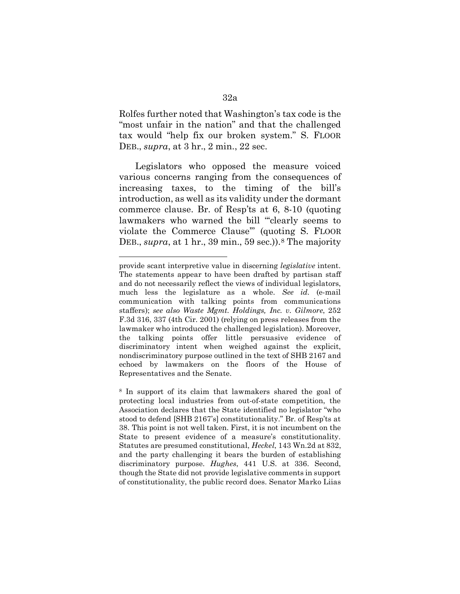Rolfes further noted that Washington's tax code is the "most unfair in the nation" and that the challenged tax would "help fix our broken system." S. FLOOR DEB., *supra*, at 3 hr., 2 min., 22 sec.

Legislators who opposed the measure voiced various concerns ranging from the consequences of increasing taxes, to the timing of the bill's introduction, as well as its validity under the dormant commerce clause. Br. of Resp'ts at 6, 8-10 (quoting lawmakers who warned the bill "'clearly seems to violate the Commerce Clause'" (quoting S. FLOOR DEB., *supra*, at 1 hr., 39 min., 59 sec.)).<sup>[8](#page-31-0)</sup> The majority

<span id="page-31-0"></span><sup>8</sup> In support of its claim that lawmakers shared the goal of protecting local industries from out-of-state competition, the Association declares that the State identified no legislator "who stood to defend [SHB 2167's] constitutionality." Br. of Resp'ts at 38. This point is not well taken. First, it is not incumbent on the State to present evidence of a measure's constitutionality. Statutes are presumed constitutional, *Heckel*, 143 Wn.2d at 832, and the party challenging it bears the burden of establishing discriminatory purpose. *Hughes*, 441 U.S. at 336. Second, though the State did not provide legislative comments in support of constitutionality, the public record does. Senator Marko Liias

provide scant interpretive value in discerning *legislative* intent. The statements appear to have been drafted by partisan staff and do not necessarily reflect the views of individual legislators, much less the legislature as a whole. *See id*. (e-mail communication with talking points from communications staffers); *see also Waste Mgmt. Holdings, Inc. v. Gilmore*, 252 F.3d 316, 337 (4th Cir. 2001) (relying on press releases from the lawmaker who introduced the challenged legislation). Moreover, the talking points offer little persuasive evidence of discriminatory intent when weighed against the explicit, nondiscriminatory purpose outlined in the text of SHB 2167 and echoed by lawmakers on the floors of the House of Representatives and the Senate.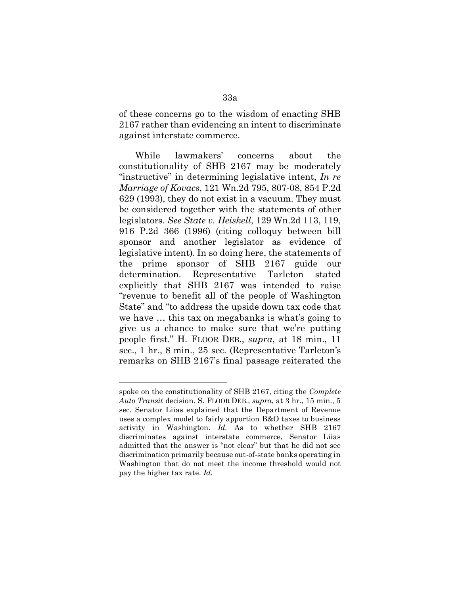of these concerns go to the wisdom of enacting SHB 2167 rather than evidencing an intent to discriminate against interstate commerce.

While lawmakers' concerns about the constitutionality of SHB 2167 may be moderately "instructive" in determining legislative intent, *In re Marriage of Kovacs*, 121 Wn.2d 795, 807-08, 854 P.2d 629 (1993), they do not exist in a vacuum. They must be considered together with the statements of other legislators. *See State v. Heiskell*, 129 Wn.2d 113, 119, 916 P.2d 366 (1996) (citing colloquy between bill sponsor and another legislator as evidence of legislative intent). In so doing here, the statements of the prime sponsor of SHB 2167 guide our determination. Representative Tarleton stated explicitly that SHB 2167 was intended to raise "revenue to benefit all of the people of Washington State" and "to address the upside down tax code that we have … this tax on megabanks is what's going to give us a chance to make sure that we're putting people first." H. FLOOR DEB., *supra*, at 18 min., 11 sec., 1 hr., 8 min., 25 sec. (Representative Tarleton's remarks on SHB 2167's final passage reiterated the

spoke on the constitutionality of SHB 2167, citing the *Complete Auto Transit* decision. S. FLOOR DEB., *supra*, at 3 hr., 15 min., 5 sec. Senator Liias explained that the Department of Revenue uses a complex model to fairly apportion B&O taxes to business activity in Washington. *Id.* As to whether SHB 2167 discriminates against interstate commerce, Senator Liias admitted that the answer is "not clear" but that he did not see discrimination primarily because out-of-state banks operating in Washington that do not meet the income threshold would not pay the higher tax rate. *Id.*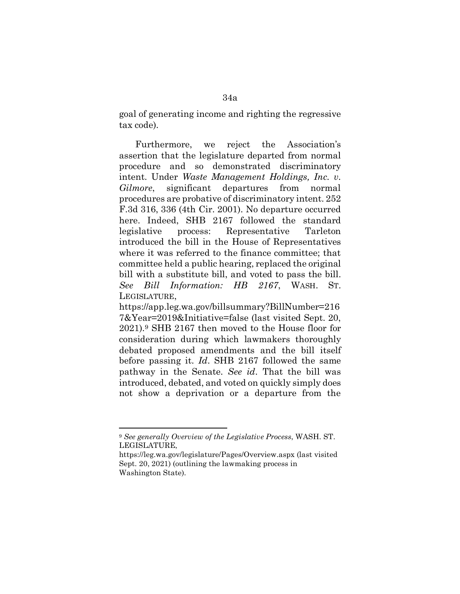goal of generating income and righting the regressive tax code).

Furthermore, we reject the Association's assertion that the legislature departed from normal procedure and so demonstrated discriminatory intent. Under *Waste Management Holdings, Inc. v. Gilmore*, significant departures from normal procedures are probative of discriminatory intent. 252 F.3d 316, 336 (4th Cir. 2001). No departure occurred here. Indeed, SHB 2167 followed the standard legislative process: Representative Tarleton introduced the bill in the House of Representatives where it was referred to the finance committee; that committee held a public hearing, replaced the original bill with a substitute bill, and voted to pass the bill. *See Bill Information: HB 2167*, WASH. ST. LEGISLATURE,

https://app.leg.wa.gov/billsummary?BillNumber=216 7&Year=2019&Initiative=false (last visited Sept. 20, 2021).[9](#page-33-0) SHB 2167 then moved to the House floor for consideration during which lawmakers thoroughly debated proposed amendments and the bill itself before passing it. *Id*. SHB 2167 followed the same pathway in the Senate. *See id*. That the bill was introduced, debated, and voted on quickly simply does not show a deprivation or a departure from the

<span id="page-33-0"></span><sup>9</sup> *See generally Overview of the Legislative Process*, WASH. ST. LEGISLATURE,

https://leg.wa.gov/legislature/Pages/Overview.aspx (last visited Sept. 20, 2021) (outlining the lawmaking process in Washington State).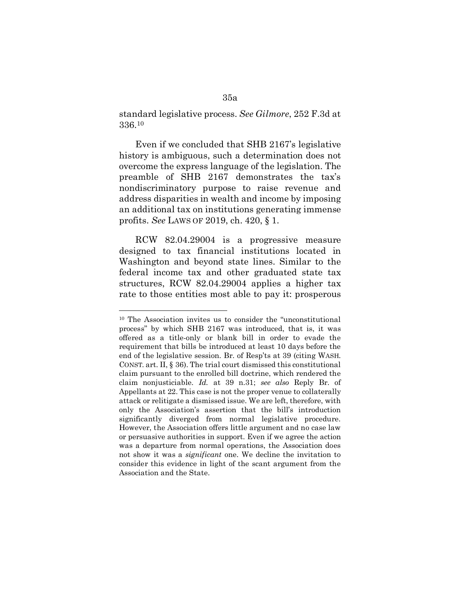standard legislative process. *See Gilmore*, 252 F.3d at 336[.10](#page-34-0)

Even if we concluded that SHB 2167's legislative history is ambiguous, such a determination does not overcome the express language of the legislation. The preamble of SHB 2167 demonstrates the tax's nondiscriminatory purpose to raise revenue and address disparities in wealth and income by imposing an additional tax on institutions generating immense profits. *See* LAWS OF 2019, ch. 420, § 1.

RCW 82.04.29004 is a progressive measure designed to tax financial institutions located in Washington and beyond state lines. Similar to the federal income tax and other graduated state tax structures, RCW 82.04.29004 applies a higher tax rate to those entities most able to pay it: prosperous

<span id="page-34-0"></span><sup>10</sup> The Association invites us to consider the "unconstitutional process" by which SHB 2167 was introduced, that is, it was offered as a title-only or blank bill in order to evade the requirement that bills be introduced at least 10 days before the end of the legislative session. Br. of Resp'ts at 39 (citing WASH. CONST. art. II, § 36). The trial court dismissed this constitutional claim pursuant to the enrolled bill doctrine, which rendered the claim nonjusticiable. *Id.* at 39 n.31; *see also* Reply Br. of Appellants at 22. This case is not the proper venue to collaterally attack or relitigate a dismissed issue. We are left, therefore, with only the Association's assertion that the bill's introduction significantly diverged from normal legislative procedure. However, the Association offers little argument and no case law or persuasive authorities in support. Even if we agree the action was a departure from normal operations, the Association does not show it was a *significant* one. We decline the invitation to consider this evidence in light of the scant argument from the Association and the State.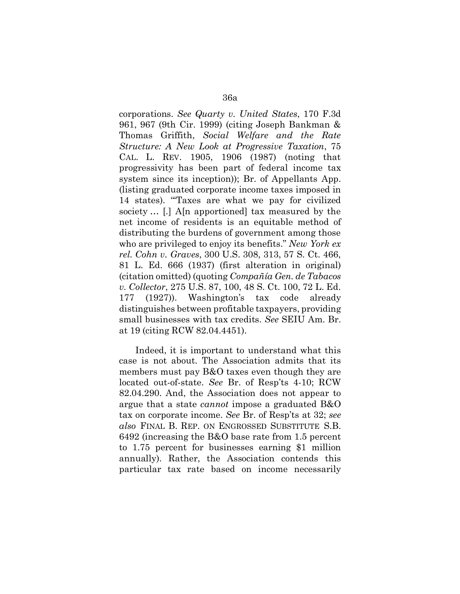corporations. *See Quarty v. United States*, 170 F.3d 961, 967 (9th Cir. 1999) (citing Joseph Bankman & Thomas Griffith, *Social Welfare and the Rate Structure: A New Look at Progressive Taxation*, 75 CAL. L. REV. 1905, 1906 (1987) (noting that progressivity has been part of federal income tax system since its inception)); Br. of Appellants App. (listing graduated corporate income taxes imposed in 14 states). "'Taxes are what we pay for civilized society … [.] A[n apportioned] tax measured by the net income of residents is an equitable method of distributing the burdens of government among those who are privileged to enjoy its benefits." *New York ex rel. Cohn v. Graves*, 300 U.S. 308, 313, 57 S. Ct. 466, 81 L. Ed. 666 (1937) (first alteration in original) (citation omitted) (quoting *Compañía Gen. de Tabacos v. Collector*, 275 U.S. 87, 100, 48 S. Ct. 100, 72 L. Ed. 177 (1927)). Washington's tax code already distinguishes between profitable taxpayers, providing small businesses with tax credits. *See* SEIU Am. Br. at 19 (citing RCW 82.04.4451).

Indeed, it is important to understand what this case is not about. The Association admits that its members must pay B&O taxes even though they are located out-of-state. *See* Br. of Resp'ts 4-10; RCW 82.04.290. And, the Association does not appear to argue that a state *cannot* impose a graduated B&O tax on corporate income. *See* Br. of Resp'ts at 32; *see also* FINAL B. REP. ON ENGROSSED SUBSTITUTE S.B. 6492 (increasing the B&O base rate from 1.5 percent to 1.75 percent for businesses earning \$1 million annually). Rather, the Association contends this particular tax rate based on income necessarily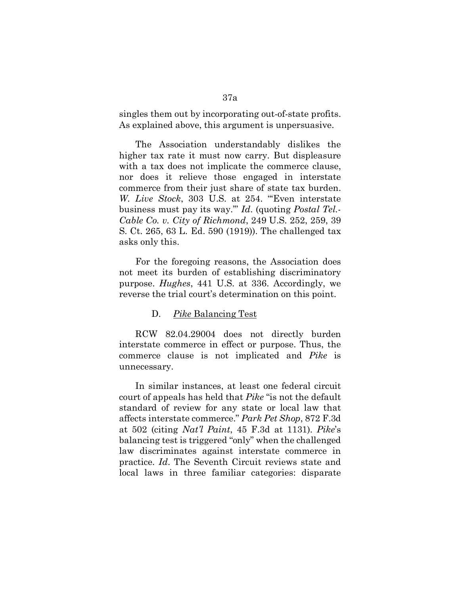singles them out by incorporating out-of-state profits. As explained above, this argument is unpersuasive.

The Association understandably dislikes the higher tax rate it must now carry. But displeasure with a tax does not implicate the commerce clause, nor does it relieve those engaged in interstate commerce from their just share of state tax burden. *W. Live Stock*, 303 U.S. at 254. "'Even interstate business must pay its way.'" *Id*. (quoting *Postal Tel.- Cable Co. v. City of Richmond*, 249 U.S. 252, 259, 39 S. Ct. 265, 63 L. Ed. 590 (1919)). The challenged tax asks only this.

For the foregoing reasons, the Association does not meet its burden of establishing discriminatory purpose. *Hughes*, 441 U.S. at 336. Accordingly, we reverse the trial court's determination on this point.

#### D. *Pike* Balancing Test

RCW 82.04.29004 does not directly burden interstate commerce in effect or purpose. Thus, the commerce clause is not implicated and *Pike* is unnecessary.

In similar instances, at least one federal circuit court of appeals has held that *Pike* "is not the default standard of review for any state or local law that affects interstate commerce." *Park Pet Shop*, 872 F.3d at 502 (citing *Nat'l Paint*, 45 F.3d at 1131). *Pike*'s balancing test is triggered "only" when the challenged law discriminates against interstate commerce in practice. *Id*. The Seventh Circuit reviews state and local laws in three familiar categories: disparate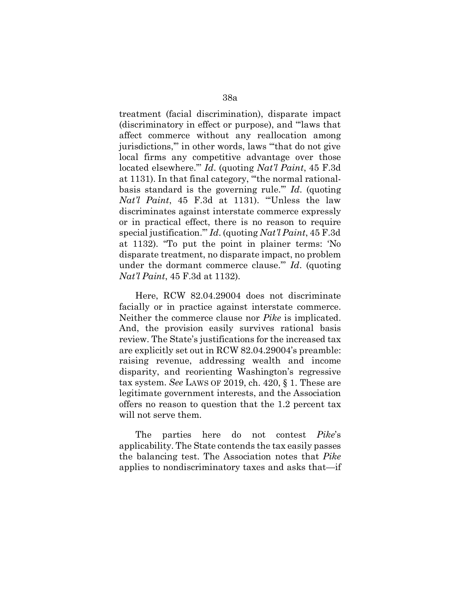treatment (facial discrimination), disparate impact (discriminatory in effect or purpose), and "'laws that affect commerce without any reallocation among jurisdictions,'" in other words, laws "'that do not give local firms any competitive advantage over those located elsewhere.'" *Id*. (quoting *Nat'l Paint*, 45 F.3d at 1131). In that final category, "'the normal rationalbasis standard is the governing rule.'" *Id*. (quoting *Nat'l Paint*, 45 F.3d at 1131). "'Unless the law discriminates against interstate commerce expressly or in practical effect, there is no reason to require special justification.'" *Id*. (quoting *Nat'l Paint*, 45 F.3d at 1132). "To put the point in plainer terms: 'No disparate treatment, no disparate impact, no problem under the dormant commerce clause.'" *Id*. (quoting *Nat'l Paint*, 45 F.3d at 1132).

Here, RCW 82.04.29004 does not discriminate facially or in practice against interstate commerce. Neither the commerce clause nor *Pike* is implicated. And, the provision easily survives rational basis review. The State's justifications for the increased tax are explicitly set out in RCW 82.04.29004's preamble: raising revenue, addressing wealth and income disparity, and reorienting Washington's regressive tax system. *See* LAWS OF 2019, ch. 420, § 1. These are legitimate government interests, and the Association offers no reason to question that the 1.2 percent tax will not serve them.

The parties here do not contest *Pike*'s applicability. The State contends the tax easily passes the balancing test. The Association notes that *Pike*  applies to nondiscriminatory taxes and asks that—if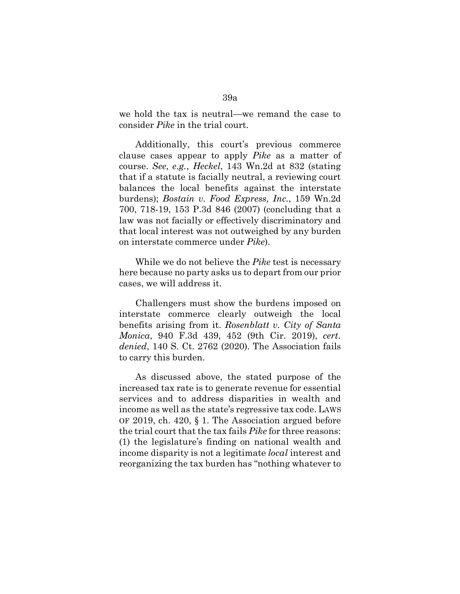we hold the tax is neutral—we remand the case to consider *Pike* in the trial court.

Additionally, this court's previous commerce clause cases appear to apply *Pike* as a matter of course. *See*, *e.g.*, *Heckel*, 143 Wn.2d at 832 (stating that if a statute is facially neutral, a reviewing court balances the local benefits against the interstate burdens); *Bostain v. Food Express, Inc.*, 159 Wn.2d 700, 718-19, 153 P.3d 846 (2007) (concluding that a law was not facially or effectively discriminatory and that local interest was not outweighed by any burden on interstate commerce under *Pike*).

While we do not believe the *Pike* test is necessary here because no party asks us to depart from our prior cases, we will address it.

Challengers must show the burdens imposed on interstate commerce clearly outweigh the local benefits arising from it. *Rosenblatt v. City of Santa Monica*, 940 F.3d 439, 452 (9th Cir. 2019), *cert. denied*, 140 S. Ct. 2762 (2020). The Association fails to carry this burden.

As discussed above, the stated purpose of the increased tax rate is to generate revenue for essential services and to address disparities in wealth and income as well as the state's regressive tax code. LAWS OF 2019, ch. 420, § 1. The Association argued before the trial court that the tax fails *Pike* for three reasons: (1) the legislature's finding on national wealth and income disparity is not a legitimate *local* interest and reorganizing the tax burden has "nothing whatever to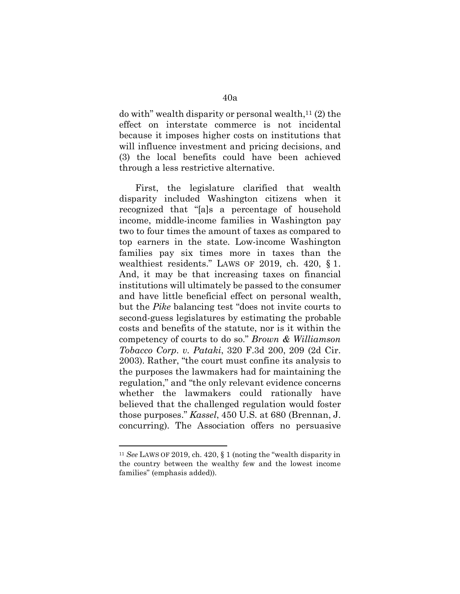do with" wealth disparity or personal wealth, $11(2)$  the effect on interstate commerce is not incidental because it imposes higher costs on institutions that will influence investment and pricing decisions, and (3) the local benefits could have been achieved through a less restrictive alternative.

First, the legislature clarified that wealth disparity included Washington citizens when it recognized that "[a]s a percentage of household income, middle-income families in Washington pay two to four times the amount of taxes as compared to top earners in the state. Low-income Washington families pay six times more in taxes than the wealthiest residents." LAWS OF 2019, ch. 420, § 1. And, it may be that increasing taxes on financial institutions will ultimately be passed to the consumer and have little beneficial effect on personal wealth, but the *Pike* balancing test "does not invite courts to second-guess legislatures by estimating the probable costs and benefits of the statute, nor is it within the competency of courts to do so." *Brown & Williamson Tobacco Corp. v. Pataki*, 320 F.3d 200, 209 (2d Cir. 2003). Rather, "the court must confine its analysis to the purposes the lawmakers had for maintaining the regulation," and "the only relevant evidence concerns whether the lawmakers could rationally have believed that the challenged regulation would foster those purposes." *Kassel*, 450 U.S. at 680 (Brennan, J. concurring). The Association offers no persuasive

<span id="page-39-0"></span><sup>11</sup> *See* LAWS OF 2019, ch. 420, § 1 (noting the "wealth disparity in the country between the wealthy few and the lowest income families" (emphasis added)).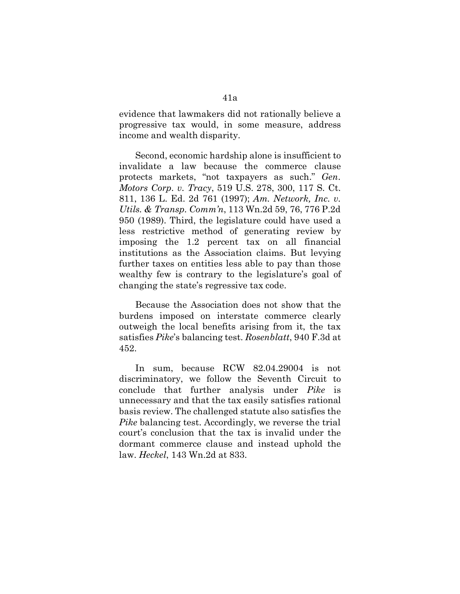evidence that lawmakers did not rationally believe a progressive tax would, in some measure, address income and wealth disparity.

Second, economic hardship alone is insufficient to invalidate a law because the commerce clause protects markets, "not taxpayers as such." *Gen. Motors Corp. v. Tracy*, 519 U.S. 278, 300, 117 S. Ct. 811, 136 L. Ed. 2d 761 (1997); *Am. Network, Inc. v. Utils. & Transp. Comm'n*, 113 Wn.2d 59, 76, 776 P.2d 950 (1989). Third, the legislature could have used a less restrictive method of generating review by imposing the 1.2 percent tax on all financial institutions as the Association claims. But levying further taxes on entities less able to pay than those wealthy few is contrary to the legislature's goal of changing the state's regressive tax code.

Because the Association does not show that the burdens imposed on interstate commerce clearly outweigh the local benefits arising from it, the tax satisfies *Pike*'s balancing test. *Rosenblatt*, 940 F.3d at 452.

In sum, because RCW 82.04.29004 is not discriminatory, we follow the Seventh Circuit to conclude that further analysis under *Pike* is unnecessary and that the tax easily satisfies rational basis review. The challenged statute also satisfies the *Pike* balancing test. Accordingly, we reverse the trial court's conclusion that the tax is invalid under the dormant commerce clause and instead uphold the law. *Heckel*, 143 Wn.2d at 833.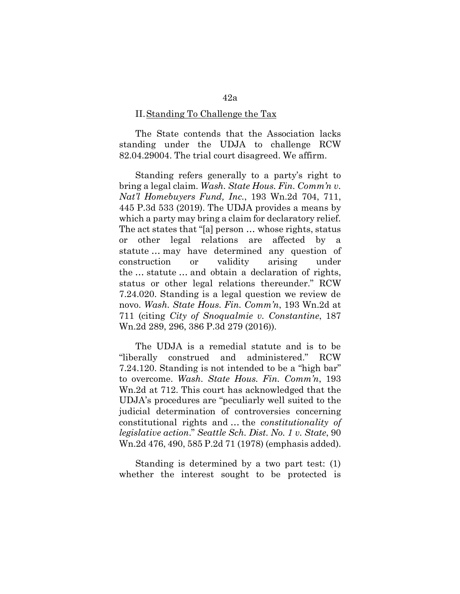#### II.Standing To Challenge the Tax

The State contends that the Association lacks standing under the UDJA to challenge RCW 82.04.29004. The trial court disagreed. We affirm.

Standing refers generally to a party's right to bring a legal claim. *Wash. State Hous. Fin. Comm'n v. Nat'l Homebuyers Fund, Inc.*, 193 Wn.2d 704, 711, 445 P.3d 533 (2019). The UDJA provides a means by which a party may bring a claim for declaratory relief. The act states that "[a] person … whose rights, status or other legal relations are affected by a statute … may have determined any question of construction or validity arising under the … statute … and obtain a declaration of rights, status or other legal relations thereunder." RCW 7.24.020. Standing is a legal question we review de novo. *Wash. State Hous. Fin. Comm'n*, 193 Wn.2d at 711 (citing *City of Snoqualmie v. Constantine*, 187 Wn.2d 289, 296, 386 P.3d 279 (2016)).

The UDJA is a remedial statute and is to be "liberally construed and administered." RCW 7.24.120. Standing is not intended to be a "high bar" to overcome. *Wash. State Hous. Fin. Comm'n*, 193 Wn.2d at 712. This court has acknowledged that the UDJA's procedures are "peculiarly well suited to the judicial determination of controversies concerning constitutional rights and … the *constitutionality of legislative action*." *Seattle Sch. Dist. No. 1 v. State*, 90 Wn.2d 476, 490, 585 P.2d 71 (1978) (emphasis added).

Standing is determined by a two part test: (1) whether the interest sought to be protected is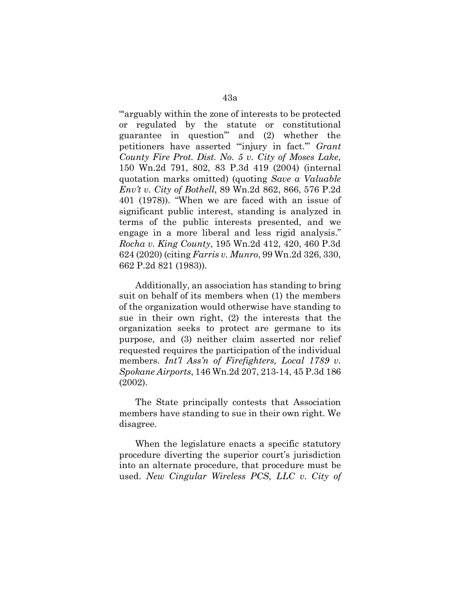"'arguably within the zone of interests to be protected or regulated by the statute or constitutional guarantee in question'" and (2) whether the petitioners have asserted "'injury in fact.'" *Grant County Fire Prot. Dist. No. 5 v. City of Moses Lake*, 150 Wn.2d 791, 802, 83 P.3d 419 (2004) (internal quotation marks omitted) (quoting *Save a Valuable Env't v. City of Bothell*, 89 Wn.2d 862, 866, 576 P.2d 401 (1978)). "When we are faced with an issue of significant public interest, standing is analyzed in terms of the public interests presented, and we engage in a more liberal and less rigid analysis." *Rocha v. King County*, 195 Wn.2d 412, 420, 460 P.3d 624 (2020) (citing *Farris v. Munro*, 99 Wn.2d 326, 330, 662 P.2d 821 (1983)).

Additionally, an association has standing to bring suit on behalf of its members when (1) the members of the organization would otherwise have standing to sue in their own right, (2) the interests that the organization seeks to protect are germane to its purpose, and (3) neither claim asserted nor relief requested requires the participation of the individual members. *Int'l Ass'n of Firefighters, Local 1789 v. Spokane Airports*, 146 Wn.2d 207, 213-14, 45 P.3d 186 (2002).

The State principally contests that Association members have standing to sue in their own right. We disagree.

When the legislature enacts a specific statutory procedure diverting the superior court's jurisdiction into an alternate procedure, that procedure must be used. *New Cingular Wireless PCS, LLC v. City of*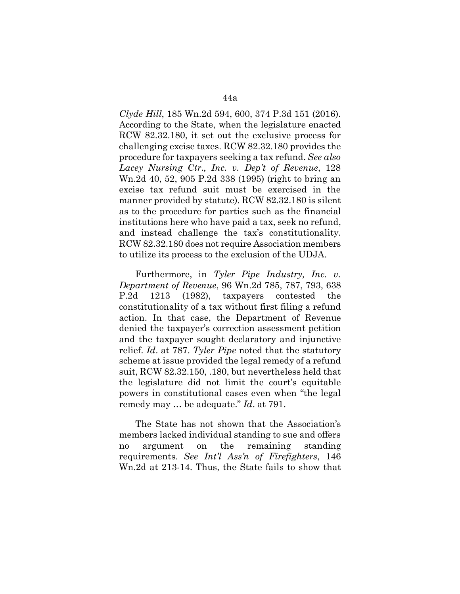*Clyde Hill*, 185 Wn.2d 594, 600, 374 P.3d 151 (2016). According to the State, when the legislature enacted RCW 82.32.180, it set out the exclusive process for challenging excise taxes. RCW 82.32.180 provides the procedure for taxpayers seeking a tax refund. *See also Lacey Nursing Ctr., Inc. v. Dep't of Revenue*, 128 Wn.2d 40, 52, 905 P.2d 338 (1995) (right to bring an excise tax refund suit must be exercised in the manner provided by statute). RCW 82.32.180 is silent as to the procedure for parties such as the financial institutions here who have paid a tax, seek no refund, and instead challenge the tax's constitutionality. RCW 82.32.180 does not require Association members to utilize its process to the exclusion of the UDJA.

Furthermore, in *Tyler Pipe Industry, Inc. v. Department of Revenue*, 96 Wn.2d 785, 787, 793, 638 P.2d 1213 (1982), taxpayers contested the constitutionality of a tax without first filing a refund action. In that case, the Department of Revenue denied the taxpayer's correction assessment petition and the taxpayer sought declaratory and injunctive relief. *Id*. at 787. *Tyler Pipe* noted that the statutory scheme at issue provided the legal remedy of a refund suit, RCW 82.32.150, .180, but nevertheless held that the legislature did not limit the court's equitable powers in constitutional cases even when "the legal remedy may … be adequate." *Id*. at 791.

The State has not shown that the Association's members lacked individual standing to sue and offers no argument on the remaining standing requirements. *See Int'l Ass'n of Firefighters*, 146 Wn.2d at 213-14. Thus, the State fails to show that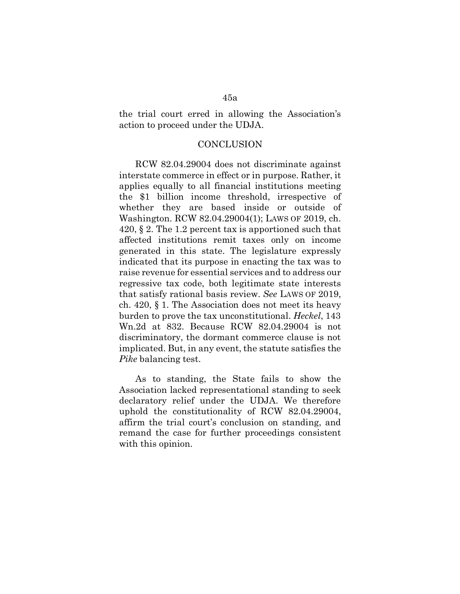## the trial court erred in allowing the Association's action to proceed under the UDJA.

### **CONCLUSION**

RCW 82.04.29004 does not discriminate against interstate commerce in effect or in purpose. Rather, it applies equally to all financial institutions meeting the \$1 billion income threshold, irrespective of whether they are based inside or outside of Washington. RCW 82.04.29004(1); LAWS OF 2019, ch. 420, § 2. The 1.2 percent tax is apportioned such that affected institutions remit taxes only on income generated in this state. The legislature expressly indicated that its purpose in enacting the tax was to raise revenue for essential services and to address our regressive tax code, both legitimate state interests that satisfy rational basis review. *See* LAWS OF 2019, ch. 420, § 1. The Association does not meet its heavy burden to prove the tax unconstitutional. *Heckel*, 143 Wn.2d at 832. Because RCW 82.04.29004 is not discriminatory, the dormant commerce clause is not implicated. But, in any event, the statute satisfies the *Pike* balancing test.

As to standing, the State fails to show the Association lacked representational standing to seek declaratory relief under the UDJA. We therefore uphold the constitutionality of RCW 82.04.29004, affirm the trial court's conclusion on standing, and remand the case for further proceedings consistent with this opinion.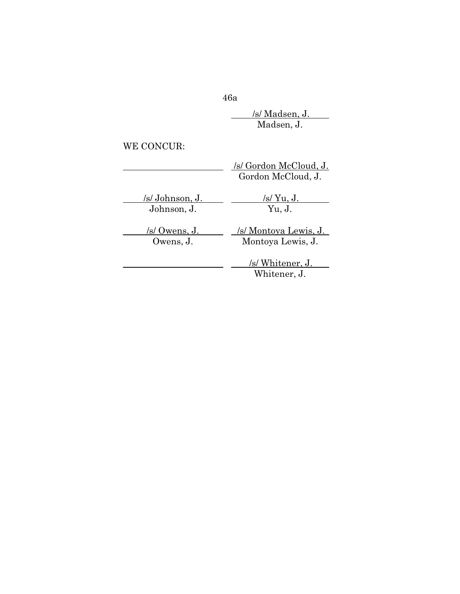<u>/s/ Madsen, J.</u>

Madsen, J.

WE CONCUR:

|                 | /s/ Gordon McCloud, J.<br>Gordon McCloud, J. |
|-----------------|----------------------------------------------|
| /s/ Johnson, J. | /s/ $Yu, J.$                                 |
| Johnson, J.     | Yu, J.                                       |
| /s/ Owens, J.   | <u>/s/ Montoya Lewis, J.</u>                 |
| Owens, J.       | Montoya Lewis, J.                            |
|                 | /s/ Whitener, J.<br>Whitener, J.             |

46a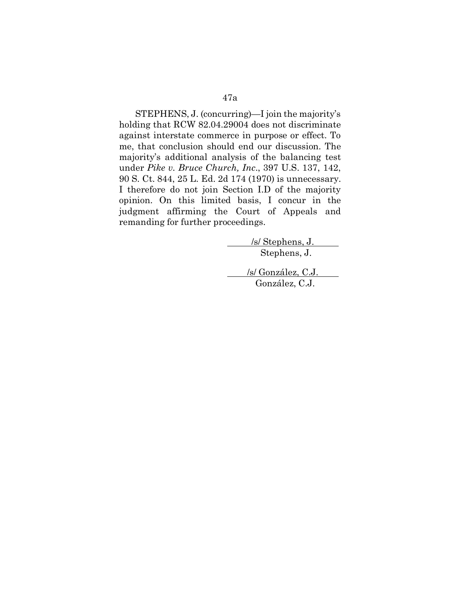STEPHENS, J. (concurring)—I join the majority's holding that RCW 82.04.29004 does not discriminate against interstate commerce in purpose or effect. To me, that conclusion should end our discussion. The majority's additional analysis of the balancing test under *Pike v. Bruce Church, Inc*., 397 U.S. 137, 142, 90 S. Ct. 844, 25 L. Ed. 2d 174 (1970) is unnecessary. I therefore do not join Section I.D of the majority opinion. On this limited basis, I concur in the judgment affirming the Court of Appeals and remanding for further proceedings.

> /s/ Stephens, J. Stephens, J.

/s/ González, C.J. González, C.J.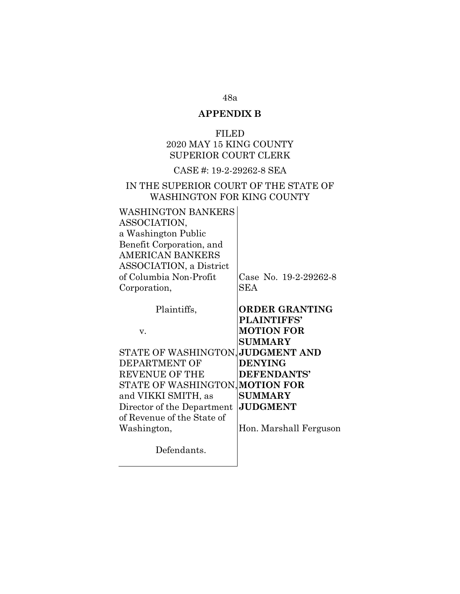# 48a **APPENDIX B**

## FILED 2020 MAY 15 KING COUNTY SUPERIOR COURT CLERK

## CASE #: 19-2-29262-8 SEA

## IN THE SUPERIOR COURT OF THE STATE OF WASHINGTON FOR KING COUNTY

| WASHINGTON BANKERS              |                        |
|---------------------------------|------------------------|
| ASSOCIATION,                    |                        |
| a Washington Public             |                        |
| Benefit Corporation, and        |                        |
| AMERICAN BANKERS                |                        |
| <b>ASSOCIATION</b> , a District |                        |
| of Columbia Non-Profit          | Case No. 19-2-29262-8  |
| Corporation,                    | <b>SEA</b>             |
|                                 |                        |
| Plaintiffs,                     | <b>ORDER GRANTING</b>  |
|                                 | PLAINTIFFS'            |
| V.                              | <b>MOTION FOR</b>      |
|                                 | <b>SUMMARY</b>         |
| STATE OF WASHINGTON,            | <b>JUDGMENT AND</b>    |
| DEPARTMENT OF                   | <b>DENYING</b>         |
| <b>REVENUE OF THE</b>           | DEFENDANTS'            |
| STATE OF WASHINGTON, MOTION FOR |                        |
| and VIKKI SMITH, as             | <b>SUMMARY</b>         |
| Director of the Department      | <b>JUDGMENT</b>        |
| of Revenue of the State of      |                        |
| Washington,                     | Hon. Marshall Ferguson |
|                                 |                        |
| Defendants.                     |                        |
|                                 |                        |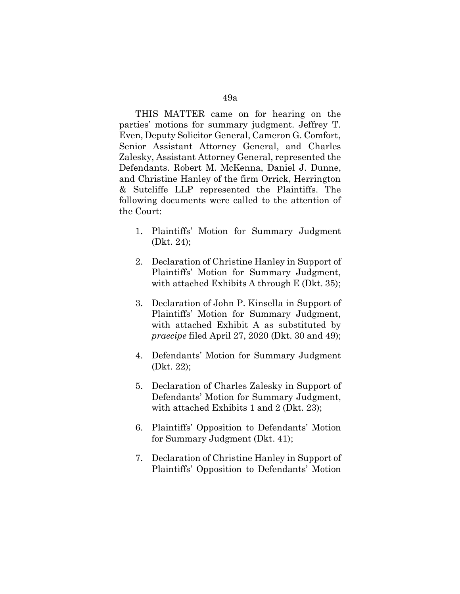THIS MATTER came on for hearing on the parties' motions for summary judgment. Jeffrey T. Even, Deputy Solicitor General, Cameron G. Comfort, Senior Assistant Attorney General, and Charles Zalesky, Assistant Attorney General, represented the Defendants. Robert M. McKenna, Daniel J. Dunne, and Christine Hanley of the firm Orrick, Herrington & Sutcliffe LLP represented the Plaintiffs. The following documents were called to the attention of the Court:

- 1. Plaintiffs' Motion for Summary Judgment (Dkt. 24);
- 2. Declaration of Christine Hanley in Support of Plaintiffs' Motion for Summary Judgment, with attached Exhibits A through E (Dkt. 35);
- 3. Declaration of John P. Kinsella in Support of Plaintiffs' Motion for Summary Judgment, with attached Exhibit A as substituted by *praecipe* filed April 27, 2020 (Dkt. 30 and 49);
- 4. Defendants' Motion for Summary Judgment (Dkt. 22);
- 5. Declaration of Charles Zalesky in Support of Defendants' Motion for Summary Judgment, with attached Exhibits 1 and 2 (Dkt. 23);
- 6. Plaintiffs' Opposition to Defendants' Motion for Summary Judgment (Dkt. 41);
- 7. Declaration of Christine Hanley in Support of Plaintiffs' Opposition to Defendants' Motion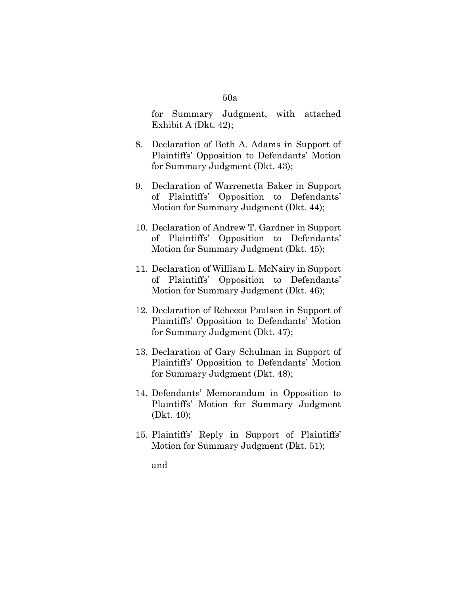for Summary Judgment, with attached Exhibit A (Dkt. 42);

- 8. Declaration of Beth A. Adams in Support of Plaintiffs' Opposition to Defendants' Motion for Summary Judgment (Dkt. 43);
- 9. Declaration of Warrenetta Baker in Support of Plaintiffs' Opposition to Defendants' Motion for Summary Judgment (Dkt. 44);
- 10. Declaration of Andrew T. Gardner in Support of Plaintiffs' Opposition to Defendants' Motion for Summary Judgment (Dkt. 45);
- 11. Declaration of William L. McNairy in Support of Plaintiffs' Opposition to Defendants' Motion for Summary Judgment (Dkt. 46);
- 12. Declaration of Rebecca Paulsen in Support of Plaintiffs' Opposition to Defendants' Motion for Summary Judgment (Dkt. 47);
- 13. Declaration of Gary Schulman in Support of Plaintiffs' Opposition to Defendants' Motion for Summary Judgment (Dkt. 48);
- 14. Defendants' Memorandum in Opposition to Plaintiffs' Motion for Summary Judgment (Dkt. 40);
- 15. Plaintiffs' Reply in Support of Plaintiffs' Motion for Summary Judgment (Dkt. 51);

and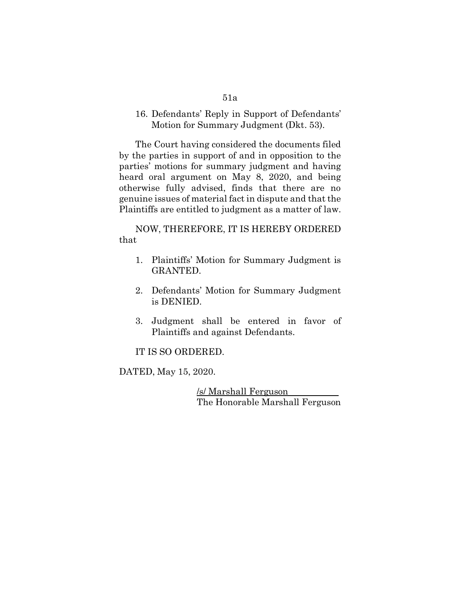## 16. Defendants' Reply in Support of Defendants' Motion for Summary Judgment (Dkt. 53).

The Court having considered the documents filed by the parties in support of and in opposition to the parties' motions for summary judgment and having heard oral argument on May 8, 2020, and being otherwise fully advised, finds that there are no genuine issues of material fact in dispute and that the Plaintiffs are entitled to judgment as a matter of law.

NOW, THEREFORE, IT IS HEREBY ORDERED that

- 1. Plaintiffs' Motion for Summary Judgment is GRANTED.
- 2. Defendants' Motion for Summary Judgment is DENIED.
- 3. Judgment shall be entered in favor of Plaintiffs and against Defendants.

IT IS SO ORDERED.

DATED, May 15, 2020.

/s/ Marshall Ferguson The Honorable Marshall Ferguson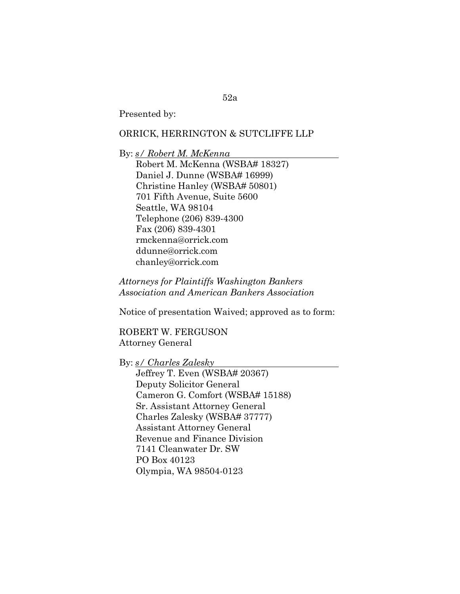Presented by:

## ORRICK, HERRINGTON & SUTCLIFFE LLP

By: *s/ Robert M. McKenna* Robert M. McKenna (WSBA# 18327) Daniel J. Dunne (WSBA# 16999) Christine Hanley (WSBA# 50801) 701 Fifth Avenue, Suite 5600 Seattle, WA 98104 Telephone (206) 839-4300 Fax (206) 839-4301 rmckenna@orrick.com ddunne@orrick.com chanley@orrick.com

*Attorneys for Plaintiffs Washington Bankers Association and American Bankers Association*

Notice of presentation Waived; approved as to form:

ROBERT W. FERGUSON Attorney General

By: *s/ Charles Zalesky*

Jeffrey T. Even (WSBA# 20367) Deputy Solicitor General Cameron G. Comfort (WSBA# 15188) Sr. Assistant Attorney General Charles Zalesky (WSBA# 37777) Assistant Attorney General Revenue and Finance Division 7141 Cleanwater Dr. SW PO Box 40123 Olympia, WA 98504-0123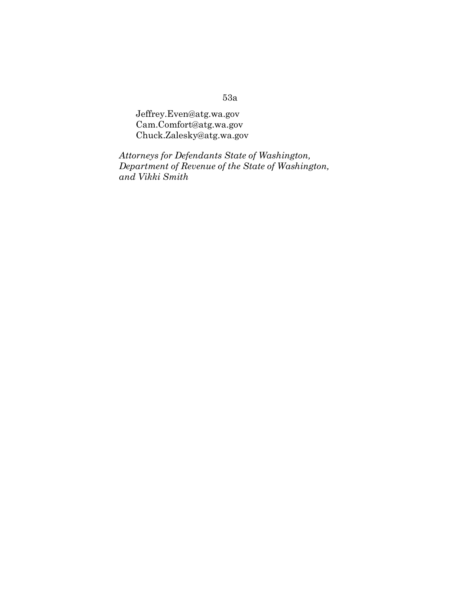Jeffrey.Even@atg.wa.gov [Cam.Comfort@atg.wa.gov](mailto:Cam.Comfort@atg.wa.gov) Chuck.Zalesky@atg.wa.gov

*Attorneys for Defendants State of Washington, Department of Revenue of the State of Washington, and Vikki Smith*

## 53a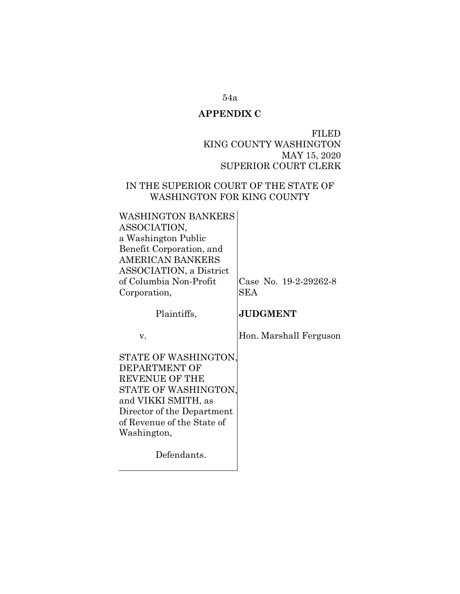## **APPENDIX C**

FILED KING COUNTY WASHINGTON MAY 15, 2020 SUPERIOR COURT CLERK

## IN THE SUPERIOR COURT OF THE STATE OF WASHINGTON FOR KING COUNTY

| <b>WASHINGTON BANKERS</b><br>ASSOCIATION,<br>a Washington Public<br>Benefit Corporation, and<br><b>AMERICAN BANKERS</b><br><b>ASSOCIATION</b> , a District<br>of Columbia Non-Profit<br>Corporation, | Case No. 19-2-29262-8<br><b>SEA</b> |
|------------------------------------------------------------------------------------------------------------------------------------------------------------------------------------------------------|-------------------------------------|
| Plaintiffs,                                                                                                                                                                                          | <b>JUDGMENT</b>                     |
| V.                                                                                                                                                                                                   | Hon. Marshall Ferguson              |
| STATE OF WASHINGTON,<br>DEPARTMENT OF<br>REVENUE OF THE<br>STATE OF WASHINGTON,<br>and VIKKI SMITH, as<br>Director of the Department<br>of Revenue of the State of<br>Washington,                    |                                     |
| Defendants.                                                                                                                                                                                          |                                     |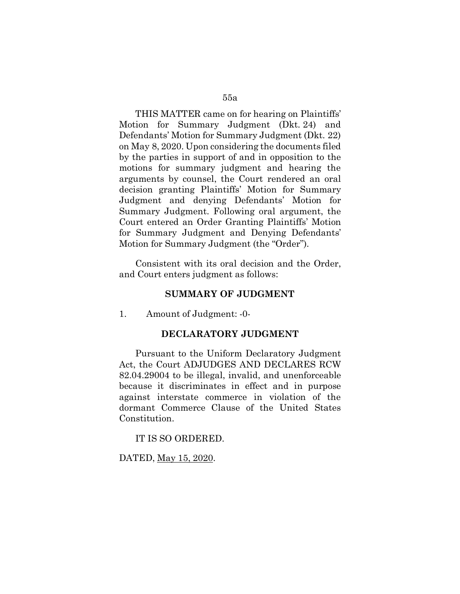THIS MATTER came on for hearing on Plaintiffs' Motion for Summary Judgment (Dkt. 24) and Defendants' Motion for Summary Judgment (Dkt. 22) on May 8, 2020. Upon considering the documents filed by the parties in support of and in opposition to the motions for summary judgment and hearing the arguments by counsel, the Court rendered an oral decision granting Plaintiffs' Motion for Summary Judgment and denying Defendants' Motion for Summary Judgment. Following oral argument, the Court entered an Order Granting Plaintiffs' Motion for Summary Judgment and Denying Defendants' Motion for Summary Judgment (the "Order").

Consistent with its oral decision and the Order, and Court enters judgment as follows:

### **SUMMARY OF JUDGMENT**

1. Amount of Judgment: -0-

### **DECLARATORY JUDGMENT**

Pursuant to the Uniform Declaratory Judgment Act, the Court ADJUDGES AND DECLARES RCW 82.04.29004 to be illegal, invalid, and unenforceable because it discriminates in effect and in purpose against interstate commerce in violation of the dormant Commerce Clause of the United States Constitution.

IT IS SO ORDERED.

DATED, May 15, 2020.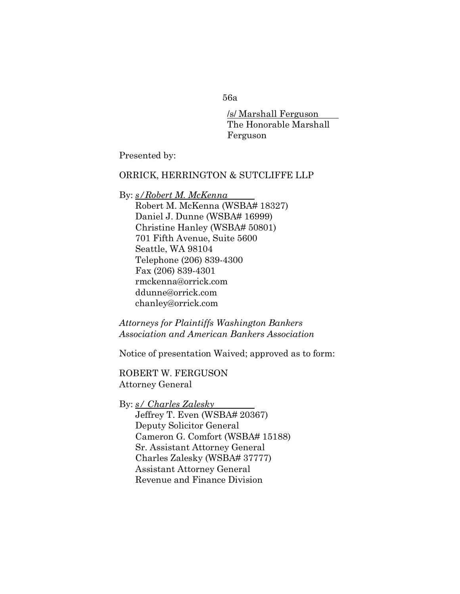/s/ Marshall Ferguson The Honorable Marshall Ferguson

Presented by:

## ORRICK, HERRINGTON & SUTCLIFFE LLP

## By: *s/Robert M. McKenna*

Robert M. McKenna (WSBA# 18327) Daniel J. Dunne (WSBA# 16999) Christine Hanley (WSBA# 50801) 701 Fifth Avenue, Suite 5600 Seattle, WA 98104 Telephone (206) 839-4300 Fax (206) 839-4301 rmckenna@orrick.com ddunne@orrick.com chanley@orrick.com

*Attorneys for Plaintiffs Washington Bankers Association and American Bankers Association*

Notice of presentation Waived; approved as to form:

ROBERT W. FERGUSON Attorney General

By: *s/ Charles Zalesky* Jeffrey T. Even (WSBA# 20367) Deputy Solicitor General Cameron G. Comfort (WSBA# 15188) Sr. Assistant Attorney General Charles Zalesky (WSBA# 37777) Assistant Attorney General Revenue and Finance Division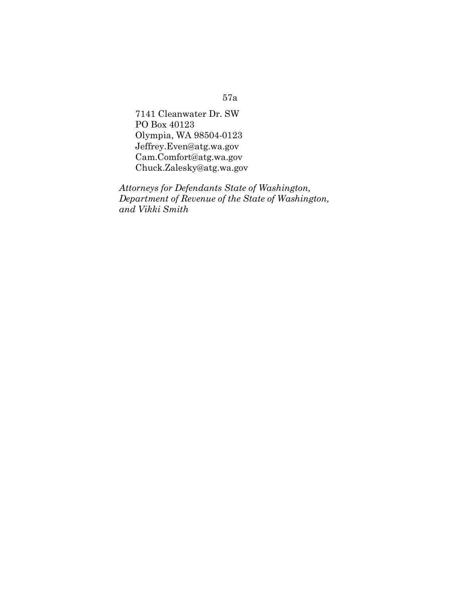7141 Cleanwater Dr. SW PO Box 40123 Olympia, WA 98504-0123 Jeffrey.Even@atg.wa.gov Cam.Comfort@atg.wa.gov Chuck.Zalesky@atg.wa.gov

*Attorneys for Defendants State of Washington, Department of Revenue of the State of Washington, and Vikki Smith*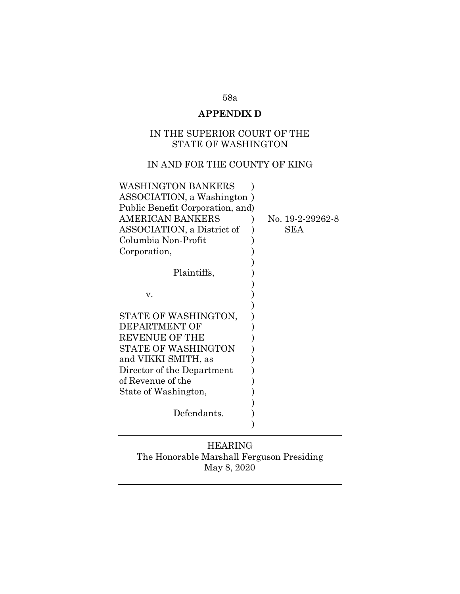# **APPENDIX D**

## IN THE SUPERIOR COURT OF THE STATE OF WASHINGTON

# IN AND FOR THE COUNTY OF KING

| WASHINGTON BANKERS               |                  |
|----------------------------------|------------------|
| ASSOCIATION, a Washington)       |                  |
| Public Benefit Corporation, and) |                  |
| <b>AMERICAN BANKERS</b>          | No. 19-2-29262-8 |
| ASSOCIATION, a District of       | SEA              |
| Columbia Non-Profit              |                  |
| Corporation,                     |                  |
|                                  |                  |
| Plaintiffs,                      |                  |
|                                  |                  |
| v.                               |                  |
|                                  |                  |
| STATE OF WASHINGTON,             |                  |
| DEPARTMENT OF                    |                  |
| <b>REVENUE OF THE</b>            |                  |
| STATE OF WASHINGTON              |                  |
| and VIKKI SMITH, as              |                  |
| Director of the Department       |                  |
| of Revenue of the                |                  |
| State of Washington,             |                  |
|                                  |                  |
| Defendants.                      |                  |
|                                  |                  |

# HEARING The Honorable Marshall Ferguson Presiding May 8, 2020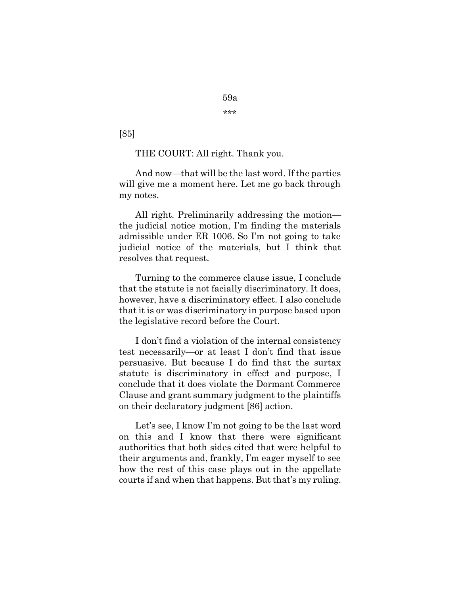\*\*\*

[85]

THE COURT: All right. Thank you.

And now—that will be the last word. If the parties will give me a moment here. Let me go back through my notes.

All right. Preliminarily addressing the motion the judicial notice motion, I'm finding the materials admissible under ER 1006. So I'm not going to take judicial notice of the materials, but I think that resolves that request.

Turning to the commerce clause issue, I conclude that the statute is not facially discriminatory. It does, however, have a discriminatory effect. I also conclude that it is or was discriminatory in purpose based upon the legislative record before the Court.

I don't find a violation of the internal consistency test necessarily—or at least I don't find that issue persuasive. But because I do find that the surtax statute is discriminatory in effect and purpose, I conclude that it does violate the Dormant Commerce Clause and grant summary judgment to the plaintiffs on their declaratory judgment [86] action.

Let's see, I know I'm not going to be the last word on this and I know that there were significant authorities that both sides cited that were helpful to their arguments and, frankly, I'm eager myself to see how the rest of this case plays out in the appellate courts if and when that happens. But that's my ruling.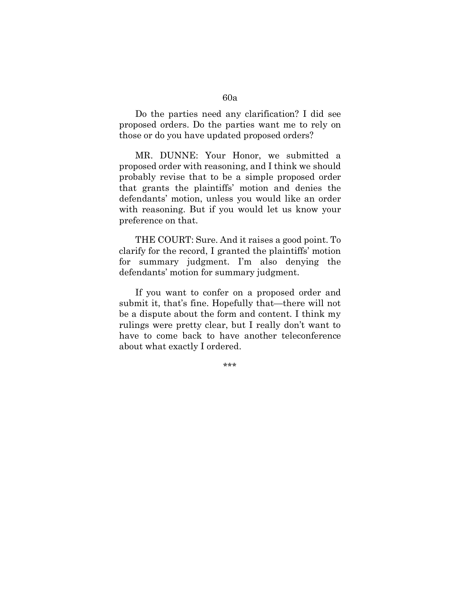Do the parties need any clarification? I did see proposed orders. Do the parties want me to rely on those or do you have updated proposed orders?

MR. DUNNE: Your Honor, we submitted a proposed order with reasoning, and I think we should probably revise that to be a simple proposed order that grants the plaintiffs' motion and denies the defendants' motion, unless you would like an order with reasoning. But if you would let us know your preference on that.

THE COURT: Sure. And it raises a good point. To clarify for the record, I granted the plaintiffs' motion for summary judgment. I'm also denying the defendants' motion for summary judgment.

If you want to confer on a proposed order and submit it, that's fine. Hopefully that—there will not be a dispute about the form and content. I think my rulings were pretty clear, but I really don't want to have to come back to have another teleconference about what exactly I ordered.

\*\*\*

#### 60a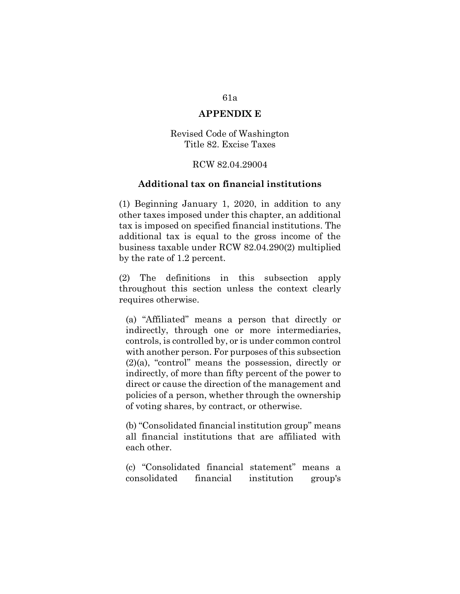### **APPENDIX E**

Revised Code of Washington Title 82. Excise Taxes

### RCW 82.04.29004

#### **Additional tax on financial institutions**

(1) Beginning January 1, 2020, in addition to any other taxes imposed under this chapter, an additional tax is imposed on specified financial institutions. The additional tax is equal to the gross income of the business taxable under RCW 82.04.290(2) multiplied by the rate of 1.2 percent.

(2) The definitions in this subsection apply throughout this section unless the context clearly requires otherwise.

(a) "Affiliated" means a person that directly or indirectly, through one or more intermediaries, controls, is controlled by, or is under common control with another person. For purposes of this subsection (2)(a), "control" means the possession, directly or indirectly, of more than fifty percent of the power to direct or cause the direction of the management and policies of a person, whether through the ownership of voting shares, by contract, or otherwise.

(b) "Consolidated financial institution group" means all financial institutions that are affiliated with each other.

(c) "Consolidated financial statement" means a consolidated financial institution group's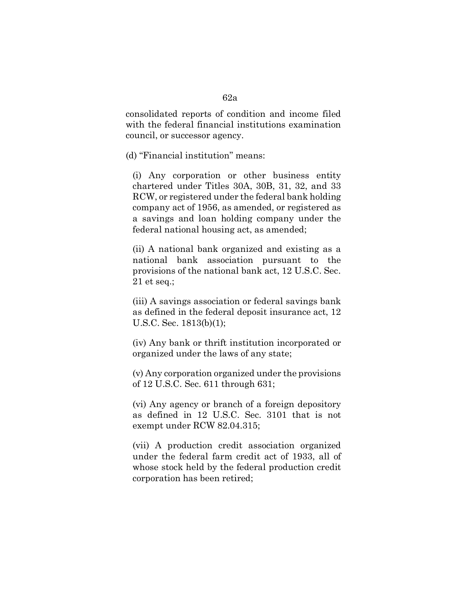consolidated reports of condition and income filed with the federal financial institutions examination council, or successor agency.

(d) "Financial institution" means:

(i) Any corporation or other business entity chartered under Titles 30A, 30B, 31, 32, and 33 RCW, or registered under the federal bank holding company act of 1956, as amended, or registered as a savings and loan holding company under the federal national housing act, as amended;

(ii) A national bank organized and existing as a national bank association pursuant to the provisions of the national bank act, 12 U.S.C. Sec. 21 et seq.;

(iii) A savings association or federal savings bank as defined in the federal deposit insurance act, 12 U.S.C. Sec. 1813(b)(1);

(iv) Any bank or thrift institution incorporated or organized under the laws of any state;

(v) Any corporation organized under the provisions of 12 U.S.C. Sec. 611 through 631;

(vi) Any agency or branch of a foreign depository as defined in 12 U.S.C. Sec. 3101 that is not exempt under RCW 82.04.315;

(vii) A production credit association organized under the federal farm credit act of 1933, all of whose stock held by the federal production credit corporation has been retired;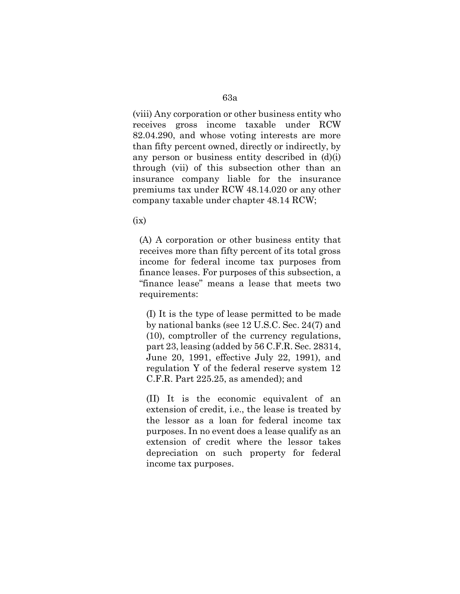(viii) Any corporation or other business entity who receives gross income taxable under RCW 82.04.290, and whose voting interests are more than fifty percent owned, directly or indirectly, by any person or business entity described in  $(d)(i)$ through (vii) of this subsection other than an insurance company liable for the insurance premiums tax under RCW 48.14.020 or any other company taxable under chapter 48.14 RCW;

 $(ix)$ 

(A) A corporation or other business entity that receives more than fifty percent of its total gross income for federal income tax purposes from finance leases. For purposes of this subsection, a "finance lease" means a lease that meets two requirements:

(I) It is the type of lease permitted to be made by national banks (see 12 U.S.C. Sec. 24(7) and (10), comptroller of the currency regulations, part 23, leasing (added by 56 C.F.R. Sec. 28314, June 20, 1991, effective July 22, 1991), and regulation Y of the federal reserve system 12 C.F.R. Part 225.25, as amended); and

(II) It is the economic equivalent of an extension of credit, i.e., the lease is treated by the lessor as a loan for federal income tax purposes. In no event does a lease qualify as an extension of credit where the lessor takes depreciation on such property for federal income tax purposes.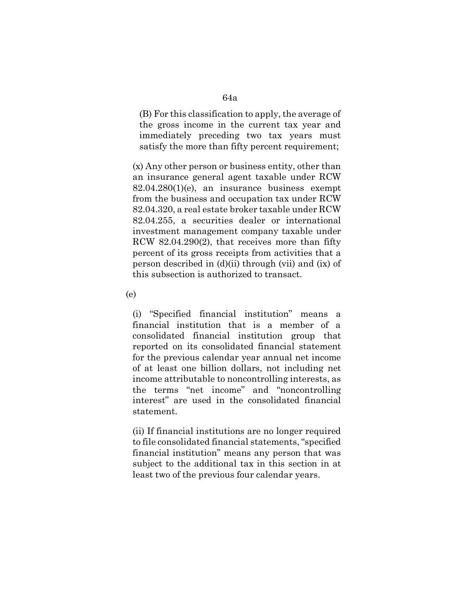(B) For this classification to apply, the average of the gross income in the current tax year and immediately preceding two tax years must satisfy the more than fifty percent requirement;

(x) Any other person or business entity, other than an insurance general agent taxable under RCW 82.04.280(1)(e), an insurance business exempt from the business and occupation tax under RCW 82.04.320, a real estate broker taxable under RCW 82.04.255, a securities dealer or international investment management company taxable under RCW 82.04.290(2), that receives more than fifty percent of its gross receipts from activities that a person described in (d)(ii) through (vii) and (ix) of this subsection is authorized to transact.

(e)

(i) "Specified financial institution" means a financial institution that is a member of a consolidated financial institution group that reported on its consolidated financial statement for the previous calendar year annual net income of at least one billion dollars, not including net income attributable to noncontrolling interests, as the terms "net income" and "noncontrolling interest" are used in the consolidated financial statement.

(ii) If financial institutions are no longer required to file consolidated financial statements, "specified financial institution" means any person that was subject to the additional tax in this section in at least two of the previous four calendar years.